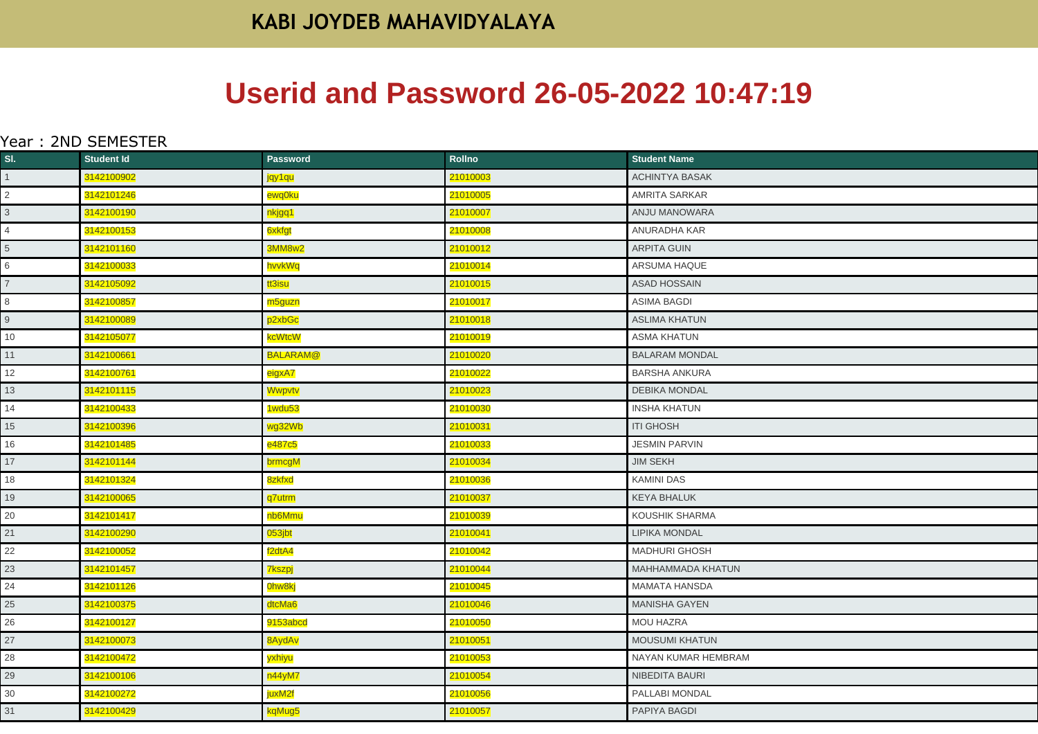## **Userid and Password 26-05-2022 10:47:19**

## Year: 2ND SEMESTER

| SI.             | <b>Student Id</b> | Password           | Rollno   | <b>Student Name</b>   |
|-----------------|-------------------|--------------------|----------|-----------------------|
| $\mathbf{1}$    | 3142100902        | jqy1qu             | 21010003 | <b>ACHINTYA BASAK</b> |
| $\overline{2}$  | 3142101246        | ewq0ku             | 21010005 | AMRITA SARKAR         |
| $\mathfrak{Z}$  | 3142100190        | nkjgq1             | 21010007 | <b>ANJU MANOWARA</b>  |
| $\overline{4}$  | 3142100153        | 6xkfgt             | 21010008 | ANURADHA KAR          |
| $5\overline{)}$ | 3142101160        | <b>3MM8w2</b>      | 21010012 | <b>ARPITA GUIN</b>    |
| 6               | 3142100033        | <u>hvvkWq</u>      | 21010014 | ARSUMA HAQUE          |
| $\overline{7}$  | 3142105092        | tt3isu             | 21010015 | <b>ASAD HOSSAIN</b>   |
| 8               | 3142100857        | m5guzn             | 21010017 | <b>ASIMA BAGDI</b>    |
| 9               | 3142100089        | p2xbGc             | 21010018 | <b>ASLIMA KHATUN</b>  |
| 10              | 3142105077        | kcWtcW             | 21010019 | <b>ASMA KHATUN</b>    |
| 11              | 3142100661        | <b>BALARAM@</b>    | 21010020 | <b>BALARAM MONDAL</b> |
| 12              | 3142100761        | eigxA7             | 21010022 | <b>BARSHA ANKURA</b>  |
| 13              | 3142101115        | Wwpvtv             | 21010023 | <b>DEBIKA MONDAL</b>  |
| 14              | 3142100433        | 1wdu <sub>53</sub> | 21010030 | <b>INSHA KHATUN</b>   |
| 15              | 3142100396        | wg32Wb             | 21010031 | <b>ITI GHOSH</b>      |
| 16              | 3142101485        | e487c5             | 21010033 | <b>JESMIN PARVIN</b>  |
| 17              | 3142101144        | brmcgM             | 21010034 | <b>JIM SEKH</b>       |
| 18              | 3142101324        | 8zkfxd             | 21010036 | <b>KAMINI DAS</b>     |
| 19              | 3142100065        | q7utrm             | 21010037 | <b>KEYA BHALUK</b>    |
| 20              | 3142101417        | nb6Mmu             | 21010039 | KOUSHIK SHARMA        |
| 21              | 3142100290        | 053jbt             | 21010041 | LIPIKA MONDAL         |
| 22              | 3142100052        | f <sub>2dtA4</sub> | 21010042 | <b>MADHURI GHOSH</b>  |
| 23              | 3142101457        | <b>7kszpj</b>      | 21010044 | MAHHAMMADA KHATUN     |
| 24              | 3142101126        | Ohw8kj             | 21010045 | <b>MAMATA HANSDA</b>  |
| 25              | 3142100375        | dtcMa6             | 21010046 | <b>MANISHA GAYEN</b>  |
| 26              | 3142100127        | 9153abcd           | 21010050 | <b>MOU HAZRA</b>      |
| 27              | 3142100073        | 8AydAv             | 21010051 | <b>MOUSUMI KHATUN</b> |
| 28              | 3142100472        | yxhiyu             | 21010053 | NAYAN KUMAR HEMBRAM   |
| 29              | 3142100106        | n44yM7             | 21010054 | NIBEDITA BAURI        |
| 30              | 3142100272        | juxM2f             | 21010056 | PALLABI MONDAL        |
| 31              | 3142100429        | kqMug5             | 21010057 | PAPIYA BAGDI          |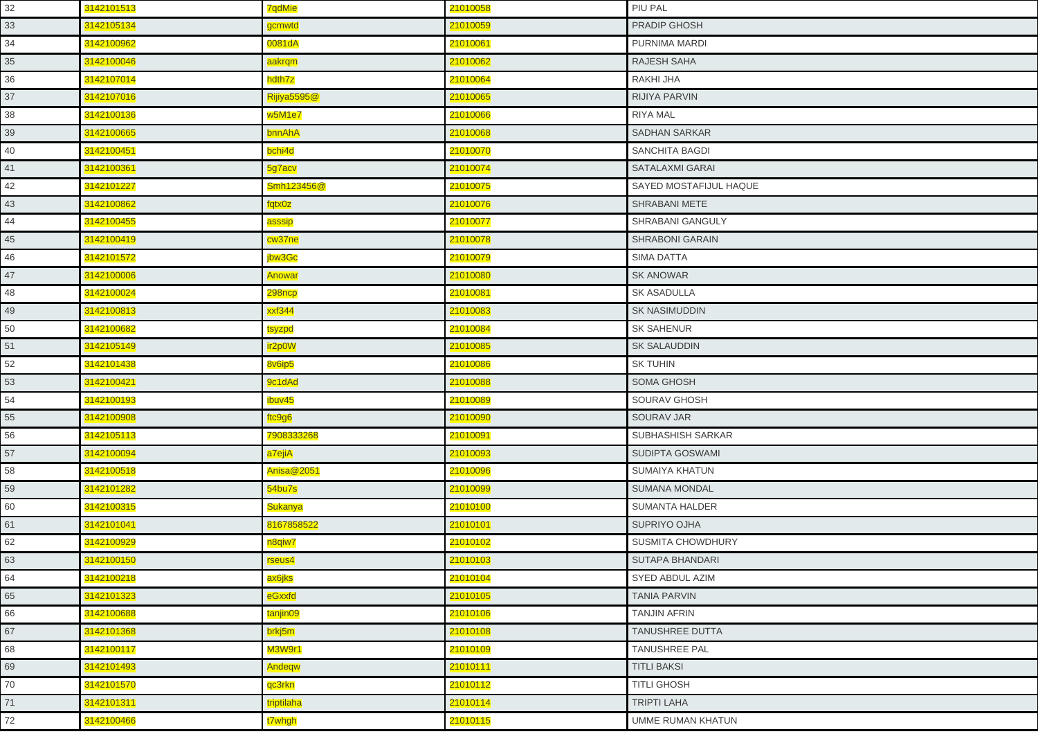| 32 | 3142101513 | <b>7qdMie</b>       | 21010058 | PIU PAL                |
|----|------------|---------------------|----------|------------------------|
| 33 | 3142105134 | gcmwtd              | 21010059 | PRADIP GHOSH           |
| 34 | 3142100962 | 0081dA              | 21010061 | PURNIMA MARDI          |
| 35 | 3142100046 | aakrqm              | 21010062 | RAJESH SAHA            |
| 36 | 3142107014 | hdth7z              | 21010064 | RAKHI JHA              |
| 37 | 3142107016 | Rijiya5595@         | 21010065 | <b>RIJIYA PARVIN</b>   |
| 38 | 3142100136 | w5M1e7              | 21010066 | <b>RIYA MAL</b>        |
| 39 | 3142100665 | bnnAhA              | 21010068 | <b>SADHAN SARKAR</b>   |
| 40 | 3142100451 | bchi4d              | 21010070 | <b>SANCHITA BAGDI</b>  |
| 41 | 3142100361 | 5g7acv              | 21010074 | SATALAXMI GARAI        |
| 42 | 3142101227 | Smh123456@          | 21010075 | SAYED MOSTAFIJUL HAQUE |
| 43 | 3142100862 | fqtx0z              | 21010076 | <b>SHRABANI METE</b>   |
| 44 | 3142100455 | asssip              | 21010077 | SHRABANI GANGULY       |
| 45 | 3142100419 | cw37ne              | 21010078 | <b>SHRABONI GARAIN</b> |
| 46 | 3142101572 | jbw3Gc              | 21010079 | <b>SIMA DATTA</b>      |
| 47 | 3142100006 | Anowar              | 21010080 | <b>SK ANOWAR</b>       |
| 48 | 3142100024 | 298ncp              | 21010081 | <b>SK ASADULLA</b>     |
| 49 | 3142100813 | xxf344              | 21010083 | SK NASIMUDDIN          |
| 50 | 3142100682 | tsyzpd              | 21010084 | <b>SK SAHENUR</b>      |
| 51 | 3142105149 | ir <sub>2</sub> p0W | 21010085 | <b>SK SALAUDDIN</b>    |
| 52 | 3142101438 | 8v6ip5              | 21010086 | <b>SK TUHIN</b>        |
| 53 | 3142100421 | 9c1dAd              | 21010088 | <b>SOMA GHOSH</b>      |
| 54 | 3142100193 | ibuv45              | 21010089 | SOURAV GHOSH           |
| 55 | 3142100908 | ftc9g6              | 21010090 | SOURAV JAR             |
| 56 | 3142105113 | 7908333268          | 21010091 | SUBHASHISH SARKAR      |
| 57 | 3142100094 | a7ejiA              | 21010093 | SUDIPTA GOSWAMI        |
| 58 | 3142100518 | Anisa@2051          | 21010096 | SUMAIYA KHATUN         |
| 59 | 3142101282 | 54bu7s              | 21010099 | <b>SUMANA MONDAL</b>   |
| 60 | 3142100315 | Sukanya             | 21010100 | <b>SUMANTA HALDER</b>  |
| 61 | 3142101041 | 8167858522          | 21010101 | <b>SUPRIYO OJHA</b>    |
| 62 | 3142100929 | n8qiw7              | 21010102 | SUSMITA CHOWDHURY      |
| 63 | 3142100150 | rseus4              | 21010103 | SUTAPA BHANDARI        |
| 64 | 3142100218 | ax6jks              | 21010104 | SYED ABDUL AZIM        |
| 65 | 3142101323 | eGxxfd              | 21010105 | <b>TANIA PARVIN</b>    |
| 66 | 3142100688 | tanjin09            | 21010106 | <b>TANJIN AFRIN</b>    |
| 67 | 3142101368 | brkj5m              | 21010108 | TANUSHREE DUTTA        |
| 68 | 3142100117 | M3W9r1              | 21010109 | <b>TANUSHREE PAL</b>   |
| 69 | 3142101493 | Andeqw              | 21010111 | <b>TITLI BAKSI</b>     |
| 70 | 3142101570 | qc3rkn              | 21010112 | <b>TITLI GHOSH</b>     |
| 71 | 3142101311 | triptilaha          | 21010114 | <b>TRIPTI LAHA</b>     |
| 72 | 3142100466 | t7whgh              | 21010115 | UMME RUMAN KHATUN      |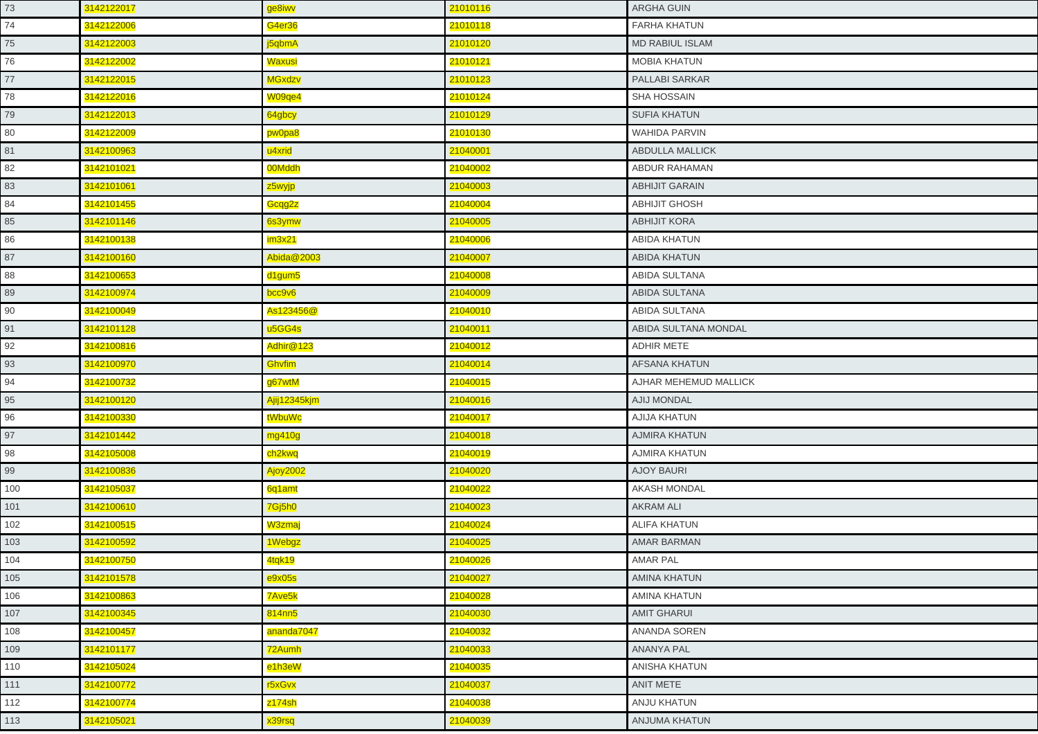| 73  | 3142122017 | ge8iwv        | 21010116 | ARGHA GUIN             |
|-----|------------|---------------|----------|------------------------|
| 74  | 3142122006 | G4er36        | 21010118 | <b>FARHA KHATUN</b>    |
| 75  | 3142122003 | j5qbmA        | 21010120 | <b>MD RABIUL ISLAM</b> |
| 76  | 3142122002 | Waxusi        | 21010121 | <b>MOBIA KHATUN</b>    |
| 77  | 3142122015 | <b>MGxdzv</b> | 21010123 | <b>PALLABI SARKAR</b>  |
| 78  | 3142122016 | W09qe4        | 21010124 | <b>SHA HOSSAIN</b>     |
| 79  | 3142122013 | 64gbcy        | 21010129 | <b>SUFIA KHATUN</b>    |
| 80  | 3142122009 | pw0pa8        | 21010130 | <b>WAHIDA PARVIN</b>   |
| 81  | 3142100963 | u4xrid        | 21040001 | ABDULLA MALLICK        |
| 82  | 3142101021 | <b>00Mddh</b> | 21040002 | ABDUR RAHAMAN          |
| 83  | 3142101061 | z5wyjp        | 21040003 | <b>ABHIJIT GARAIN</b>  |
| 84  | 3142101455 | Gcqg2z        | 21040004 | <b>ABHIJIT GHOSH</b>   |
| 85  | 3142101146 | 6s3ymw        | 21040005 | <b>ABHIJIT KORA</b>    |
| 86  | 3142100138 | im3x21        | 21040006 | <b>ABIDA KHATUN</b>    |
| 87  | 3142100160 | Abida@2003    | 21040007 | <b>ABIDA KHATUN</b>    |
| 88  | 3142100653 | d1gum5        | 21040008 | ABIDA SULTANA          |
| 89  | 3142100974 | bcc9v6        | 21040009 | ABIDA SULTANA          |
| 90  | 3142100049 | As123456@     | 21040010 | ABIDA SULTANA          |
| 91  | 3142101128 | u5GG4s        | 21040011 | ABIDA SULTANA MONDAL   |
| 92  | 3142100816 | Adhir@123     | 21040012 | <b>ADHIR METE</b>      |
| 93  | 3142100970 | Ghvfim        | 21040014 | <b>AFSANA KHATUN</b>   |
| 94  | 3142100732 | g67wtM        | 21040015 | AJHAR MEHEMUD MALLICK  |
| 95  | 3142100120 | Ajij12345kjm  | 21040016 | <b>AJIJ MONDAL</b>     |
| 96  | 3142100330 | tWbuWc        | 21040017 | AJIJA KHATUN           |
| 97  | 3142101442 | mg410g        | 21040018 | <b>AJMIRA KHATUN</b>   |
| 98  | 3142105008 | ch2kwq        | 21040019 | AJMIRA KHATUN          |
| 99  | 3142100836 | Ajoy2002      | 21040020 | <b>AJOY BAURI</b>      |
| 100 | 3142105037 | 6q1amt        | 21040022 | <b>AKASH MONDAL</b>    |
| 101 | 3142100610 | 7Gj5h0        | 21040023 | AKRAM ALI              |
| 102 | 3142100515 | W3zmaj        | 21040024 | <b>ALIFA KHATUN</b>    |
| 103 | 3142100592 | 1Webgz        | 21040025 | <b>AMAR BARMAN</b>     |
| 104 | 3142100750 | 4tqk19        | 21040026 | <b>AMAR PAL</b>        |
| 105 | 3142101578 | e9x05s        | 21040027 | <b>AMINA KHATUN</b>    |
| 106 | 3142100863 | 7Ave5k        | 21040028 | AMINA KHATUN           |
| 107 | 3142100345 | 814nn5        | 21040030 | <b>AMIT GHARUI</b>     |
| 108 | 3142100457 | ananda7047    | 21040032 | ANANDA SOREN           |
| 109 | 3142101177 | 72Aumh        | 21040033 | <b>ANANYA PAL</b>      |
| 110 | 3142105024 | e1h3eW        | 21040035 | ANISHA KHATUN          |
| 111 | 3142100772 | r5xGvx        | 21040037 | ANIT METE              |
| 112 | 3142100774 | z174sh        | 21040038 | <b>ANJU KHATUN</b>     |
| 113 | 3142105021 | x39rsq        | 21040039 | ANJUMA KHATUN          |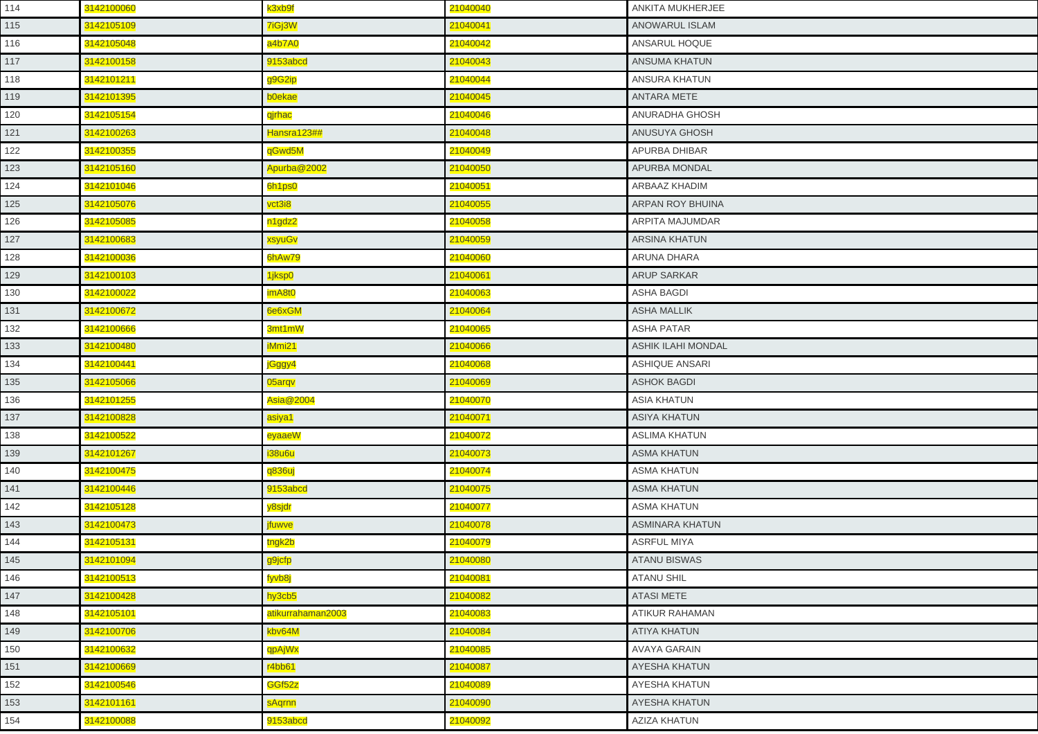| 114 | 3142100060 | k3xb9f              | 21040040 | ANKITA MUKHERJEE          |
|-----|------------|---------------------|----------|---------------------------|
| 115 | 3142105109 | 7iGj3W              | 21040041 | ANOWARUL ISLAM            |
| 116 | 3142105048 | a4b7A0              | 21040042 | ANSARUL HOQUE             |
| 117 | 3142100158 | 9153abcd            | 21040043 | <b>ANSUMA KHATUN</b>      |
| 118 | 3142101211 | g9G2ip              | 21040044 | ANSURA KHATUN             |
| 119 | 3142101395 | <b>b0ekae</b>       | 21040045 | ANTARA METE               |
| 120 | 3142105154 | qjrhac              | 21040046 | ANURADHA GHOSH            |
| 121 | 3142100263 | Hansra123##         | 21040048 | ANUSUYA GHOSH             |
| 122 | 3142100355 | qGwd5M              | 21040049 | APURBA DHIBAR             |
| 123 | 3142105160 | Apurba@2002         | 21040050 | APURBA MONDAL             |
| 124 | 3142101046 | 6h1ps0              | 21040051 | ARBAAZ KHADIM             |
| 125 | 3142105076 | vct3i8              | 21040055 | ARPAN ROY BHUINA          |
| 126 | 3142105085 | n1gdz2              | 21040058 | ARPITA MAJUMDAR           |
| 127 | 3142100683 | xsyuGv              | 21040059 | <b>ARSINA KHATUN</b>      |
| 128 | 3142100036 | 6hAw79              | 21040060 | ARUNA DHARA               |
| 129 | 3142100103 | 1jksp0              | 21040061 | <b>ARUP SARKAR</b>        |
| 130 | 3142100022 | imA8t0              | 21040063 | ASHA BAGDI                |
| 131 | 3142100672 | 6e6xGM              | 21040064 | <b>ASHA MALLIK</b>        |
| 132 | 3142100666 | 3mt1mW              | 21040065 | <b>ASHA PATAR</b>         |
| 133 | 3142100480 | iMmi21              | 21040066 | <b>ASHIK ILAHI MONDAL</b> |
| 134 | 3142100441 | jGggy4              | 21040068 | <b>ASHIQUE ANSARI</b>     |
| 135 | 3142105066 | 05arqv              | 21040069 | <b>ASHOK BAGDI</b>        |
| 136 | 3142101255 | Asia@2004           | 21040070 | <b>ASIA KHATUN</b>        |
| 137 | 3142100828 | <mark>asiya1</mark> | 21040071 | <b>ASIYA KHATUN</b>       |
| 138 | 3142100522 | eyaaeW              | 21040072 | <b>ASLIMA KHATUN</b>      |
| 139 | 3142101267 | i38u6u              | 21040073 | <b>ASMA KHATUN</b>        |
| 140 | 3142100475 | q836uj              | 21040074 | <b>ASMA KHATUN</b>        |
| 141 | 3142100446 | 9153abcd            | 21040075 | <b>ASMA KHATUN</b>        |
| 142 | 3142105128 | y8sjdr              | 21040077 | ASMA KHATUN               |
| 143 | 3142100473 | jfuwve              | 21040078 | <b>ASMINARA KHATUN</b>    |
| 144 | 3142105131 | tngk2b              | 21040079 | <b>ASRFUL MIYA</b>        |
| 145 | 3142101094 | g9jcfp              | 21040080 | ATANU BISWAS              |
| 146 | 3142100513 | fyvb8j              | 21040081 | <b>ATANU SHIL</b>         |
| 147 | 3142100428 | hy3cb5              | 21040082 | <b>ATASI METE</b>         |
| 148 | 3142105101 | atikurrahaman2003   | 21040083 | ATIKUR RAHAMAN            |
| 149 | 3142100706 | kbv64M              | 21040084 | <b>ATIYA KHATUN</b>       |
| 150 | 3142100632 | qpAjWx              | 21040085 | <b>AVAYA GARAIN</b>       |
| 151 | 3142100669 | r4b661              | 21040087 | <b>AYESHA KHATUN</b>      |
| 152 | 3142100546 | GGf52z              | 21040089 | <b>AYESHA KHATUN</b>      |
| 153 | 3142101161 | sAqrnn              | 21040090 | <b>AYESHA KHATUN</b>      |
| 154 | 3142100088 | 9153abcd            | 21040092 | <b>AZIZA KHATUN</b>       |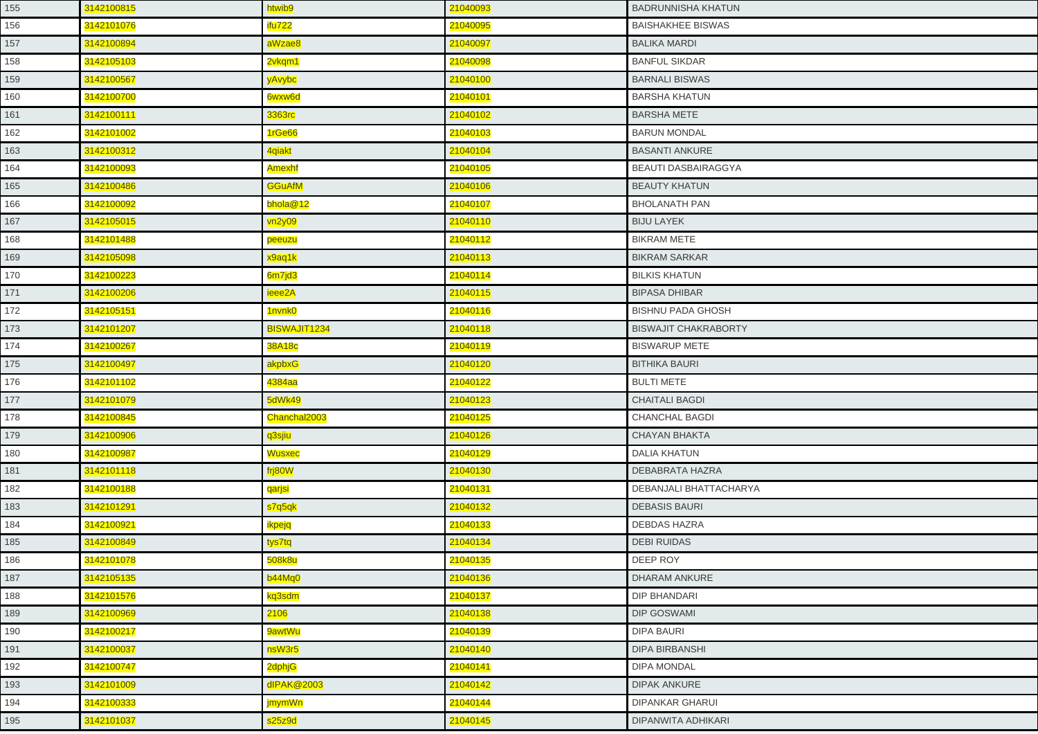| 3142100815        | htwib9             | 21040093        | <b>BADRUNNISHA KHATUN</b>   |
|-------------------|--------------------|-----------------|-----------------------------|
| 3142101076        | ifu722             | 21040095        | <b>BAISHAKHEE BISWAS</b>    |
| 3142100894        | aWzae8             | 21040097        | <b>BALIKA MARDI</b>         |
| 3142105103        | 2vkqm1             | 21040098        | <b>BANFUL SIKDAR</b>        |
| 3142100567        | yAvybc             | 21040100        | <b>BARNALI BISWAS</b>       |
| 3142100700        | 6wxw6d             | 21040101        | <b>BARSHA KHATUN</b>        |
| 3142100111        | 3363rc             | 21040102        | <b>BARSHA METE</b>          |
| 3142101002        | 1rGe66             | 21040103        | <b>BARUN MONDAL</b>         |
| 3142100312        | 4qiakt             | 21040104        | <b>BASANTI ANKURE</b>       |
| 3142100093        | <b>Amexhf</b>      | 21040105        | <b>BEAUTI DASBAIRAGGYA</b>  |
| 3142100486        | <b>GGuAfM</b>      | 21040106        | <b>BEAUTY KHATUN</b>        |
| 3142100092        | bhola@12           | 21040107        | <b>BHOLANATH PAN</b>        |
| 3142105015        | vn <sub>2y09</sub> | 21040110        | <b>BIJU LAYEK</b>           |
| 3142101488        | peeuzu             | 21040112        | <b>BIKRAM METE</b>          |
| 3142105098        | x9aq1k             | 21040113        | <b>BIKRAM SARKAR</b>        |
| 3142100223        | 6m7jd3             | 21040114        | <b>BILKIS KHATUN</b>        |
| 3142100206        | ieee2A             | 21040115        | <b>BIPASA DHIBAR</b>        |
| 3142105151        | 1nvnk0             | 21040116        | <b>BISHNU PADA GHOSH</b>    |
| 3142101207        | BISWAJIT1234       | 21040118        | <b>BISWAJIT CHAKRABORTY</b> |
| 3142100267        | 38A18c             | 21040119        | <b>BISWARUP METE</b>        |
| 3142100497        | akpbxG             | 21040120        | <b>BITHIKA BAURI</b>        |
| 3142101102        | 4384aa             | 21040122        | <b>BULTI METE</b>           |
| 3142101079        | 5dWk49             | 21040123        | <b>CHAITALI BAGDI</b>       |
| 3142100845        | Chanchal2003       | 21040125        | <b>CHANCHAL BAGDI</b>       |
| 3142100906        | q3sjiu             | 21040126        | <b>CHAYAN BHAKTA</b>        |
| 3142100987        | Wusxec             | 21040129        | DALIA KHATUN                |
| 3142101118        | frj80W             | 21040130        | DEBABRATA HAZRA             |
| 3142100188        | qarjsi             | 21040131        | DEBANJALI BHATTACHARYA      |
| 3142101291        | s7q5qk             | 21040132        | <b>DEBASIS BAURI</b>        |
| 3142100921        | ikpejq             | 21040133        | <b>DEBDAS HAZRA</b>         |
| 3142100849        | tys7tq             | 21040134        | <b>DEBI RUIDAS</b>          |
| <u>3142101078</u> | 508k8u             | <u>21040135</u> | DEEP ROY                    |
| 3142105135        | b44Mq0             | 21040136        | <b>DHARAM ANKURE</b>        |
| 3142101576        | kq3sdm             | 21040137        | DIP BHANDARI                |
| 3142100969        | 2106               | 21040138        | <b>DIP GOSWAMI</b>          |
| 3142100217        | <b>9awtWu</b>      | 21040139        | <b>DIPA BAURI</b>           |
| 3142100037        | nsW3r5             | 21040140        | <b>DIPA BIRBANSHI</b>       |
| 3142100747        | 2dphjG             | 21040141        | <b>DIPA MONDAL</b>          |
| 3142101009        | dlPAK@2003         | 21040142        | <b>DIPAK ANKURE</b>         |
| 3142100333        | <u>jmymWn</u>      | 21040144        | <b>DIPANKAR GHARUI</b>      |
| 3142101037        | s25z9d             | 21040145        | <b>DIPANWITA ADHIKARI</b>   |
|                   |                    |                 |                             |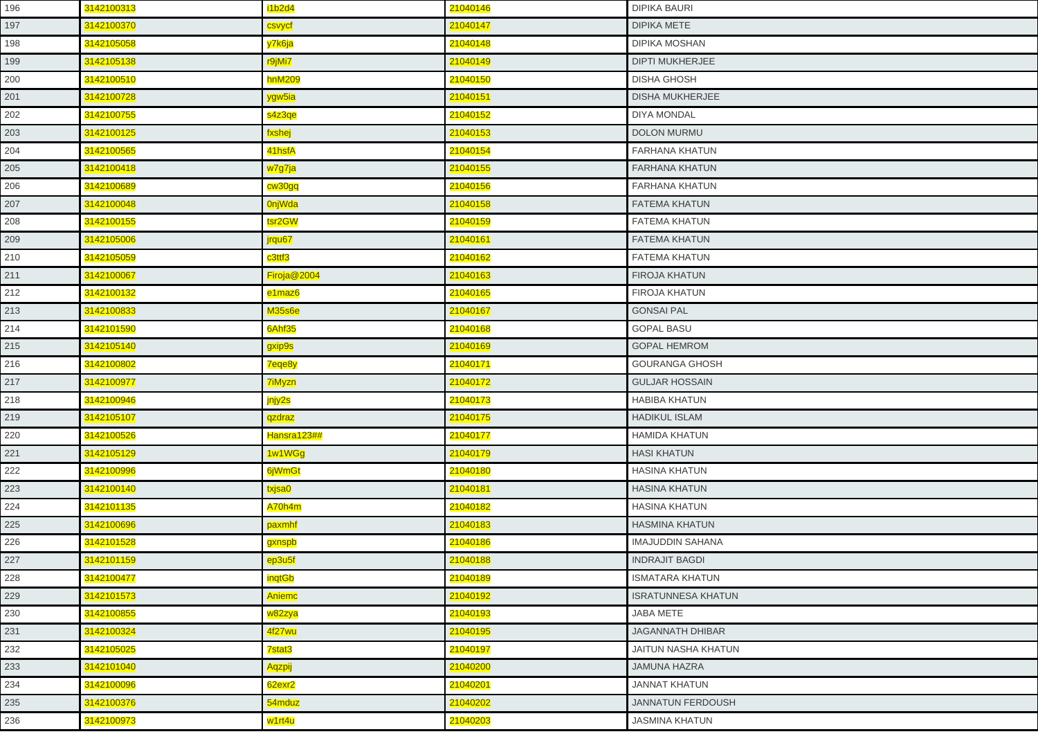| 196 | 3142100313 | i1b2d4              | 21040146 | <b>DIPIKA BAURI</b>       |
|-----|------------|---------------------|----------|---------------------------|
| 197 | 3142100370 | csvycf              | 21040147 | <b>DIPIKA METE</b>        |
| 198 | 3142105058 | <mark>y7k6ja</mark> | 21040148 | <b>DIPIKA MOSHAN</b>      |
| 199 | 3142105138 | r9jMi7              | 21040149 | <b>DIPTI MUKHERJEE</b>    |
| 200 | 3142100510 | hnM209              | 21040150 | <b>DISHA GHOSH</b>        |
| 201 | 3142100728 | ygw5ia              | 21040151 | <b>DISHA MUKHERJEE</b>    |
| 202 | 3142100755 | s4z3qe              | 21040152 | <b>DIYA MONDAL</b>        |
| 203 | 3142100125 | fxshej              | 21040153 | <b>DOLON MURMU</b>        |
| 204 | 3142100565 | 41hsfA              | 21040154 | <b>FARHANA KHATUN</b>     |
| 205 | 3142100418 | w7g7ja              | 21040155 | <b>FARHANA KHATUN</b>     |
| 206 | 3142100689 | cw30gq              | 21040156 | <b>FARHANA KHATUN</b>     |
| 207 | 3142100048 | OnjWda              | 21040158 | <b>FATEMA KHATUN</b>      |
| 208 | 3142100155 | tsr2GW              | 21040159 | <b>FATEMA KHATUN</b>      |
| 209 | 3142105006 | jrqu67              | 21040161 | <b>FATEMA KHATUN</b>      |
| 210 | 3142105059 | c3ttf3              | 21040162 | <b>FATEMA KHATUN</b>      |
| 211 | 3142100067 | Firoja@2004         | 21040163 | <b>FIROJA KHATUN</b>      |
| 212 | 3142100132 | e1maz6              | 21040165 | <b>FIROJA KHATUN</b>      |
| 213 | 3142100833 | M35s6e              | 21040167 | <b>GONSAI PAL</b>         |
| 214 | 3142101590 | 6Ahf35              | 21040168 | <b>GOPAL BASU</b>         |
| 215 | 3142105140 | gxip9s              | 21040169 | <b>GOPAL HEMROM</b>       |
| 216 | 3142100802 | <b>7eqe8y</b>       | 21040171 | <b>GOURANGA GHOSH</b>     |
| 217 | 3142100977 | <b>7iMyzn</b>       | 21040172 | <b>GULJAR HOSSAIN</b>     |
| 218 | 3142100946 | jnjy2s              | 21040173 | <b>HABIBA KHATUN</b>      |
| 219 | 3142105107 | qzdraz              | 21040175 | <b>HADIKUL ISLAM</b>      |
| 220 | 3142100526 | Hansra123##         | 21040177 | <b>HAMIDA KHATUN</b>      |
| 221 | 3142105129 | 1w1WGg              | 21040179 | <b>HASI KHATUN</b>        |
| 222 | 3142100996 | 6jWmGt              | 21040180 | <b>HASINA KHATUN</b>      |
| 223 | 3142100140 | txjsa0              | 21040181 | <b>HASINA KHATUN</b>      |
| 224 | 3142101135 | A70h4m              | 21040182 | <b>HASINA KHATUN</b>      |
| 225 | 3142100696 | baxmhf              | 21040183 | <b>HASMINA KHATUN</b>     |
| 226 | 3142101528 | gxnspb              | 21040186 | <b>IMAJUDDIN SAHANA</b>   |
| 227 | 3142101159 | ep3u5f              | 21040188 | <b>INDRAJIT BAGDI</b>     |
| 228 | 3142100477 | inqtGb              | 21040189 | <b>ISMATARA KHATUN</b>    |
| 229 | 3142101573 | Aniemc              | 21040192 | <b>ISRATUNNESA KHATUN</b> |
| 230 | 3142100855 | w82zya              | 21040193 | <b>JABA METE</b>          |
| 231 | 3142100324 | 4f27wu              | 21040195 | JAGANNATH DHIBAR          |
| 232 | 3142105025 | 7stat3              | 21040197 | JAITUN NASHA KHATUN       |
| 233 | 3142101040 | Aqzpij              | 21040200 | <b>JAMUNA HAZRA</b>       |
| 234 | 3142100096 | 62exr2              | 21040201 | <b>JANNAT KHATUN</b>      |
| 235 | 3142100376 | 54mduz              | 21040202 | <b>JANNATUN FERDOUSH</b>  |
| 236 | 3142100973 | w1rt4u              | 21040203 | <b>JASMINA KHATUN</b>     |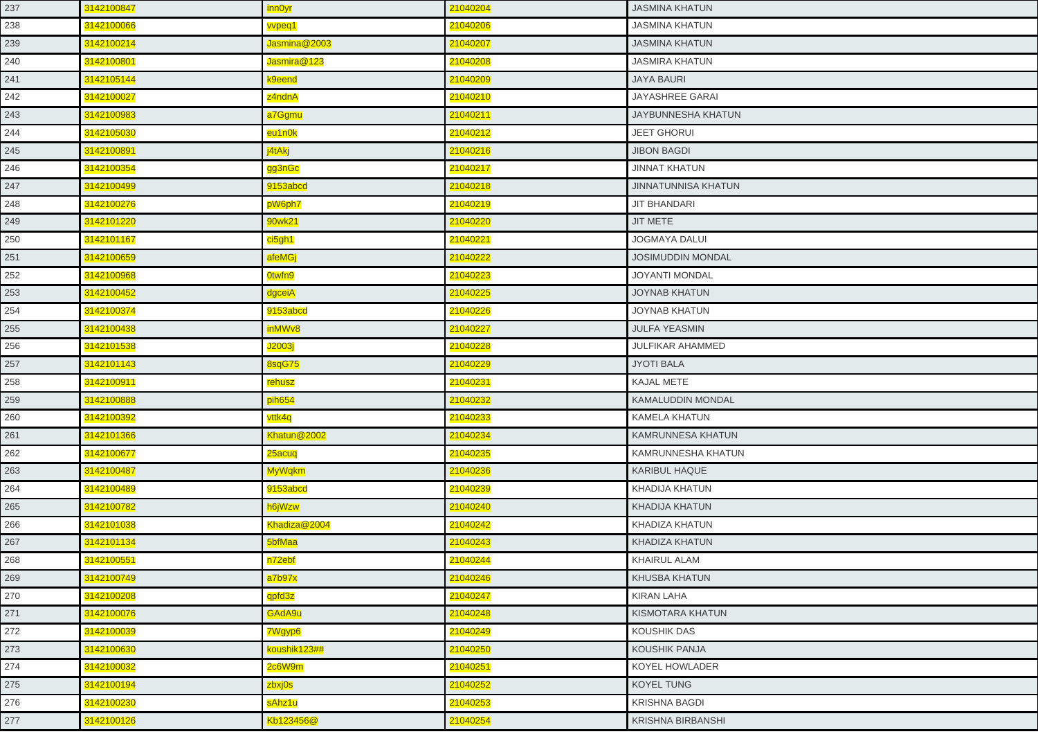| 237 | 3142100847 | inn0yr        | 21040204 | <b>JASMINA KHATUN</b>      |
|-----|------------|---------------|----------|----------------------------|
| 238 | 3142100066 | vvpeq1        | 21040206 | <b>JASMINA KHATUN</b>      |
| 239 | 3142100214 | Jasmina@2003  | 21040207 | <b>JASMINA KHATUN</b>      |
| 240 | 3142100801 | Jasmira@123   | 21040208 | <b>JASMIRA KHATUN</b>      |
| 241 | 3142105144 | k9eend        | 21040209 | <b>JAYA BAURI</b>          |
| 242 | 3142100027 | z4ndnA        | 21040210 | JAYASHREE GARAI            |
| 243 | 3142100983 | a7Ggmu        | 21040211 | JAYBUNNESHA KHATUN         |
| 244 | 3142105030 | eu1n0k        | 21040212 | <b>JEET GHORUI</b>         |
| 245 | 3142100891 | j4tAkj        | 21040216 | <b>JIBON BAGDI</b>         |
| 246 | 3142100354 | gg3nGc        | 21040217 | <b>JINNAT KHATUN</b>       |
| 247 | 3142100499 | 9153abcd      | 21040218 | <b>JINNATUNNISA KHATUN</b> |
| 248 | 3142100276 | pW6ph7        | 21040219 | <b>JIT BHANDARI</b>        |
| 249 | 3142101220 | 90wk21        | 21040220 | JIT METE                   |
| 250 | 3142101167 | ci5gh1        | 21040221 | <b>JOGMAYA DALUI</b>       |
| 251 | 3142100659 | afeMGj        | 21040222 | JOSIMUDDIN MONDAL          |
| 252 | 3142100968 | Otwfn9        | 21040223 | <b>JOYANTI MONDAL</b>      |
| 253 | 3142100452 | dgceiA        | 21040225 | <b>JOYNAB KHATUN</b>       |
| 254 | 3142100374 | 9153abcd      | 21040226 | <b>JOYNAB KHATUN</b>       |
| 255 | 3142100438 | inMWv8        | 21040227 | <b>JULFA YEASMIN</b>       |
| 256 | 3142101538 | J2003j        | 21040228 | <b>JULFIKAR AHAMMED</b>    |
| 257 | 3142101143 | 8sqG75        | 21040229 | <b>JYOTI BALA</b>          |
| 258 | 3142100911 | rehusz        | 21040231 | <b>KAJAL METE</b>          |
| 259 | 3142100888 | pih654        | 21040232 | <b>KAMALUDDIN MONDAL</b>   |
| 260 | 3142100392 | vttk4q        | 21040233 | <b>KAMELA KHATUN</b>       |
| 261 | 3142101366 | Khatun@2002   | 21040234 | <b>KAMRUNNESA KHATUN</b>   |
| 262 | 3142100677 | 25acuq        | 21040235 | KAMRUNNESHA KHATUN         |
| 263 | 3142100487 | <b>MyWqkm</b> | 21040236 | <b>KARIBUL HAQUE</b>       |
| 264 | 3142100489 | 9153abcd      | 21040239 | KHADIJA KHATUN             |
| 265 | 3142100782 | h6jWzw        | 21040240 | KHADIJA KHATUN             |
| 266 | 3142101038 | Khadiza@2004  | 21040242 | KHADIZA KHATUN             |
| 267 | 3142101134 | <b>5bfMaa</b> | 21040243 | <b>KHADIZA KHATUN</b>      |
| 268 | 3142100551 | n72ebf        | 21040244 | <b>KHAIRUL ALAM</b>        |
| 269 | 3142100749 | a7b97x        | 21040246 | <b>KHUSBA KHATUN</b>       |
| 270 | 3142100208 | qpfd3z        | 21040247 | KIRAN LAHA                 |
| 271 | 3142100076 | GAdA9u        | 21040248 | KISMOTARA KHATUN           |
| 272 | 3142100039 | 7Wgyp6        | 21040249 | <b>KOUSHIK DAS</b>         |
| 273 | 3142100630 | koushik123##  | 21040250 | <b>KOUSHIK PANJA</b>       |
| 274 | 3142100032 | 2c6W9m        | 21040251 | KOYEL HOWLADER             |
| 275 | 3142100194 | zbxj0s        | 21040252 | <b>KOYEL TUNG</b>          |
| 276 | 3142100230 | sAhz1u        | 21040253 | <b>KRISHNA BAGDI</b>       |
| 277 | 3142100126 | Kb123456@     | 21040254 | <b>KRISHNA BIRBANSHI</b>   |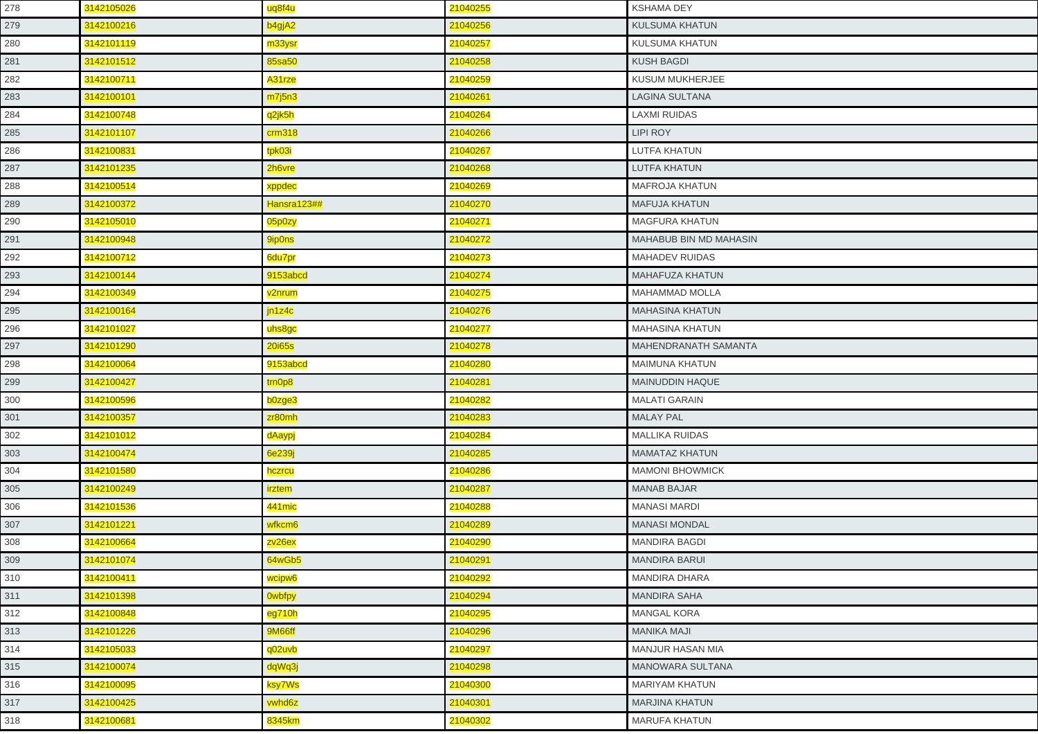| 278 | 3142105026 | uq8f4u              | 21040255 | <b>KSHAMA DEY</b>       |
|-----|------------|---------------------|----------|-------------------------|
| 279 | 3142100216 | b4gjA2              | 21040256 | KULSUMA KHATUN          |
| 280 | 3142101119 | m33ysr              | 21040257 | KULSUMA KHATUN          |
| 281 | 3142101512 | <b>85sa50</b>       | 21040258 | <b>KUSH BAGDI</b>       |
| 282 | 3142100711 | A31rze              | 21040259 | KUSUM MUKHERJEE         |
| 283 | 3142100101 | m7j5n3              | 21040261 | <b>LAGINA SULTANA</b>   |
| 284 | 3142100748 | <mark>q2jk5h</mark> | 21040264 | <b>LAXMI RUIDAS</b>     |
| 285 | 3142101107 | cm318               | 21040266 | LIPI ROY                |
| 286 | 3142100831 | tpk03i              | 21040267 | LUTFA KHATUN            |
| 287 | 3142101235 | 2h6vre              | 21040268 | <b>LUTFA KHATUN</b>     |
| 288 | 3142100514 | xppdec              | 21040269 | <b>MAFROJA KHATUN</b>   |
| 289 | 3142100372 | Hansra123##         | 21040270 | <b>MAFUJA KHATUN</b>    |
| 290 | 3142105010 | 05p0zy              | 21040271 | <b>MAGFURA KHATUN</b>   |
| 291 | 3142100948 | 9ip0ns              | 21040272 | MAHABUB BIN MD MAHASIN  |
| 292 | 3142100712 | 6du7pr              | 21040273 | <b>MAHADEV RUIDAS</b>   |
| 293 | 3142100144 | 9153abcd            | 21040274 | <b>MAHAFUZA KHATUN</b>  |
| 294 | 3142100349 | v <sub>2nrum</sub>  | 21040275 | <b>MAHAMMAD MOLLA</b>   |
| 295 | 3142100164 | jn1z4c              | 21040276 | <b>MAHASINA KHATUN</b>  |
| 296 | 3142101027 | uhs8gc              | 21040277 | <b>MAHASINA KHATUN</b>  |
| 297 | 3142101290 | <b>20i65s</b>       | 21040278 | MAHENDRANATH SAMANTA    |
| 298 | 3142100064 | 9153abcd            | 21040280 | <b>MAIMUNA KHATUN</b>   |
| 299 | 3142100427 | trn0p8              | 21040281 | MAINUDDIN HAQUE         |
| 300 | 3142100596 | b0zge3              | 21040282 | <b>MALATI GARAIN</b>    |
| 301 | 3142100357 | zr80mh              | 21040283 | <b>MALAY PAL</b>        |
| 302 | 3142101012 | dAaypj              | 21040284 | <b>MALLIKA RUIDAS</b>   |
| 303 | 3142100474 | <b>6e239j</b>       | 21040285 | <b>MAMATAZ KHATUN</b>   |
| 304 | 3142101580 | <u>hczrcu</u>       | 21040286 | <b>MAMONI BHOWMICK</b>  |
| 305 | 3142100249 | <u>irztem</u>       | 21040287 | <b>MANAB BAJAR</b>      |
| 306 | 3142101536 | 441mic              | 21040288 | <b>MANASI MARDI</b>     |
| 307 | 3142101221 | wfkcm6              | 21040289 | <b>MANASI MONDAL</b>    |
| 308 | 3142100664 | zv26ex              | 21040290 | <b>MANDIRA BAGDI</b>    |
| 309 | 3142101074 | 64wGb5              | 21040291 | <b>MANDIRA BARUI</b>    |
| 310 | 3142100411 | wcipw6              | 21040292 | <b>MANDIRA DHARA</b>    |
| 311 | 3142101398 | <b>Owbfpy</b>       | 21040294 | <b>MANDIRA SAHA</b>     |
| 312 | 3142100848 | eg710h              | 21040295 | <b>MANGAL KORA</b>      |
| 313 | 3142101226 | <b>9M66ff</b>       | 21040296 | <b>MANIKA MAJI</b>      |
| 314 | 3142105033 | q02uvb              | 21040297 | MANJUR HASAN MIA        |
| 315 | 3142100074 | dqWq3j              | 21040298 | <b>MANOWARA SULTANA</b> |
| 316 | 3142100095 | ksy7Ws              | 21040300 | <b>MARIYAM KHATUN</b>   |
| 317 | 3142100425 | vwhd6z              | 21040301 | <b>MARJINA KHATUN</b>   |
| 318 | 3142100681 | 8345km              | 21040302 | <b>MARUFA KHATUN</b>    |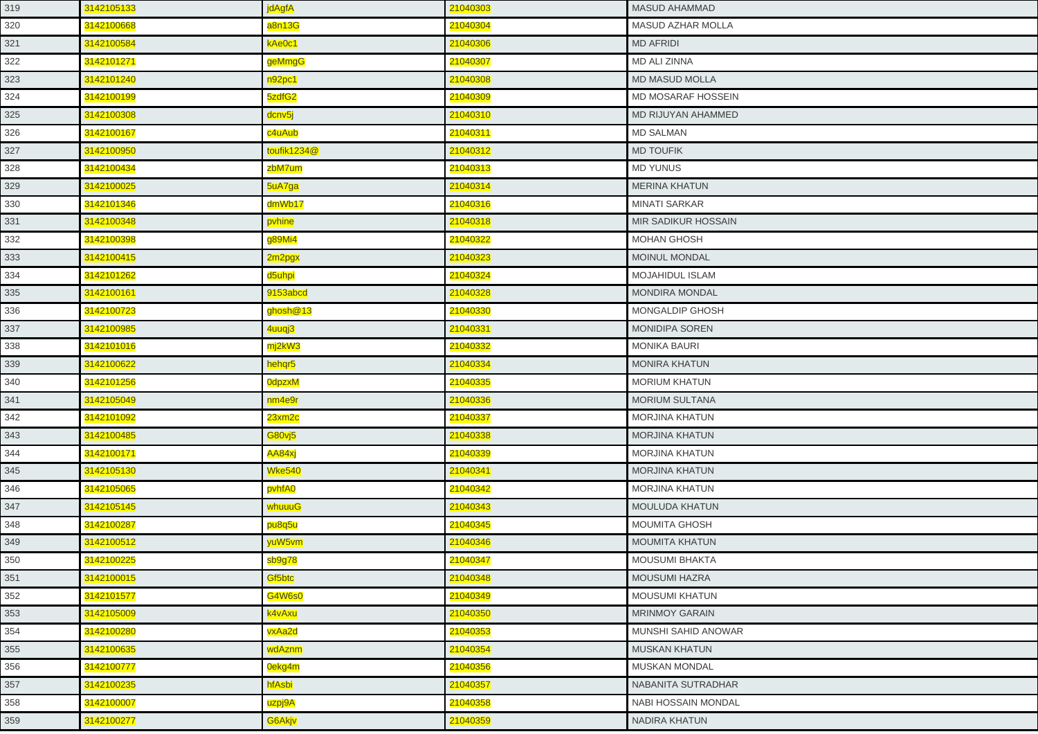| 3142105133 | jdAgfA             |          | MASUD AHAMMAD              |
|------------|--------------------|----------|----------------------------|
| 3142100668 | a8n13G             | 21040304 | <b>MASUD AZHAR MOLLA</b>   |
| 3142100584 | kAe0c1             | 21040306 | <b>MD AFRIDI</b>           |
| 3142101271 | geMmgG             | 21040307 | MD ALI ZINNA               |
| 3142101240 | n92pc1             | 21040308 | <b>MD MASUD MOLLA</b>      |
| 3142100199 | 5zdfG2             | 21040309 | MD MOSARAF HOSSEIN         |
| 3142100308 | dcnv5j             | 21040310 | MD RIJUYAN AHAMMED         |
| 3142100167 | c4uAub             | 21040311 | <b>MD SALMAN</b>           |
| 3142100950 | toufik1234@        | 21040312 | <b>MD TOUFIK</b>           |
| 3142100434 | zbM7um             | 21040313 | <b>MD YUNUS</b>            |
| 3142100025 | 5uA7ga             | 21040314 | <b>MERINA KHATUN</b>       |
| 3142101346 | dmWb17             | 21040316 | <b>MINATI SARKAR</b>       |
| 3142100348 | pyhine             | 21040318 | <b>MIR SADIKUR HOSSAIN</b> |
| 3142100398 | g89Mi4             | 21040322 | <b>MOHAN GHOSH</b>         |
| 3142100415 | 2m <sub>2pgx</sub> | 21040323 | <b>MOINUL MONDAL</b>       |
| 3142101262 | d5uhpi             | 21040324 | <b>MOJAHIDUL ISLAM</b>     |
| 3142100161 | 9153abcd           | 21040328 | <b>MONDIRA MONDAL</b>      |
| 3142100723 | ghosh@13           | 21040330 | MONGALDIP GHOSH            |
| 3142100985 | 4uuqj3             | 21040331 | <b>MONIDIPA SOREN</b>      |
| 3142101016 | mj2kW3             | 21040332 | <b>MONIKA BAURI</b>        |
| 3142100622 | hehqr5             | 21040334 | <b>MONIRA KHATUN</b>       |
| 3142101256 | <b>OdpzxM</b>      | 21040335 | <b>MORIUM KHATUN</b>       |
| 3142105049 | nm4e9r             | 21040336 | <b>MORIUM SULTANA</b>      |
| 3142101092 | 23xm2c             | 21040337 | MORJINA KHATUN             |
| 3142100485 | G80vj5             | 21040338 | <b>MORJINA KHATUN</b>      |
| 3142100171 | AA84xj             | 21040339 | <b>MORJINA KHATUN</b>      |
| 3142105130 | <b>Wke540</b>      | 21040341 | <b>MORJINA KHATUN</b>      |
| 3142105065 | pvhfA0             | 21040342 | <b>MORJINA KHATUN</b>      |
| 3142105145 | whuuuG             | 21040343 | <b>MOULUDA KHATUN</b>      |
| 3142100287 | pu8q5u             | 21040345 | MOUMITA GHOSH              |
| 3142100512 | yuW5vm             | 21040346 | <b>MOUMITA KHATUN</b>      |
| 3142100225 | sb9g78             | 21040347 | MOUSUMI BHAKTA             |
| 3142100015 | Gf5btc             | 21040348 | <b>MOUSUMI HAZRA</b>       |
| 3142101577 | <b>G4W6s0</b>      | 21040349 | <b>MOUSUMI KHATUN</b>      |
| 3142105009 | k4vAxu             | 21040350 | <b>MRINMOY GARAIN</b>      |
| 3142100280 | vxAa2d             | 21040353 | MUNSHI SAHID ANOWAR        |
| 3142100635 | wdAznm             | 21040354 | <b>MUSKAN KHATUN</b>       |
| 3142100777 | 0ekg4m             | 21040356 | <b>MUSKAN MONDAL</b>       |
| 3142100235 | hfAsbi             | 21040357 | NABANITA SUTRADHAR         |
| 3142100007 | uzpj9A             | 21040358 | NABI HOSSAIN MONDAL        |
| 3142100277 | G6Akjv             | 21040359 | NADIRA KHATUN              |
|            |                    |          | 21040303                   |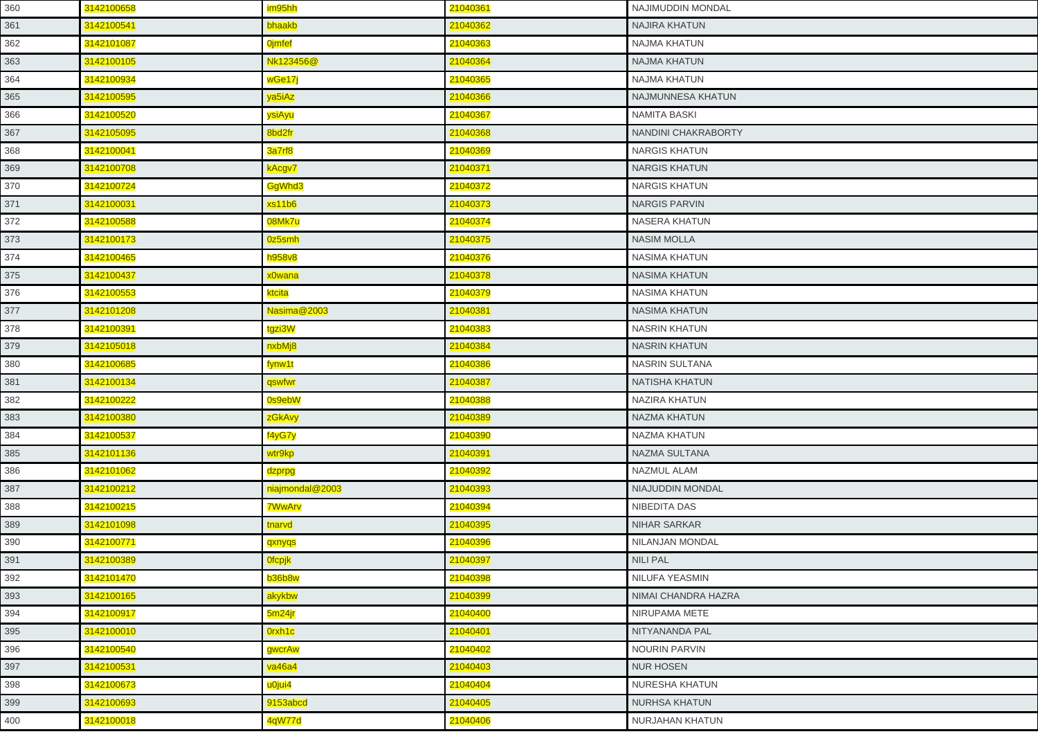| 360 | 3142100658 | im95hh          | 21040361 | NAJIMUDDIN MONDAL     |
|-----|------------|-----------------|----------|-----------------------|
| 361 | 3142100541 | bhaakb          | 21040362 | <b>NAJIRA KHATUN</b>  |
| 362 | 3142101087 | Ojmfef          | 21040363 | NAJMA KHATUN          |
| 363 | 3142100105 | Nk123456@       | 21040364 | NAJMA KHATUN          |
| 364 | 3142100934 | wGe17j          | 21040365 | NAJMA KHATUN          |
| 365 | 3142100595 | ya5iAz          | 21040366 | NAJMUNNESA KHATUN     |
| 366 | 3142100520 | ysiAyu          | 21040367 | <b>NAMITA BASKI</b>   |
| 367 | 3142105095 | 8bd2fr          | 21040368 | NANDINI CHAKRABORTY   |
| 368 | 3142100041 | 3a7rf8          | 21040369 | <b>NARGIS KHATUN</b>  |
| 369 | 3142100708 | kAcgv7          | 21040371 | <b>NARGIS KHATUN</b>  |
| 370 | 3142100724 | GgWhd3          | 21040372 | <b>NARGIS KHATUN</b>  |
| 371 | 3142100031 | xs11b6          | 21040373 | <b>NARGIS PARVIN</b>  |
| 372 | 3142100588 | 08Mk7u          | 21040374 | <b>NASERA KHATUN</b>  |
| 373 | 3142100173 | 0z5smh          | 21040375 | <b>NASIM MOLLA</b>    |
| 374 | 3142100465 | h958v8          | 21040376 | <b>NASIMA KHATUN</b>  |
| 375 | 3142100437 | x0wana          | 21040378 | <b>NASIMA KHATUN</b>  |
| 376 | 3142100553 | ktcita          | 21040379 | <b>NASIMA KHATUN</b>  |
| 377 | 3142101208 | Nasima@2003     | 21040381 | <b>NASIMA KHATUN</b>  |
| 378 | 3142100391 | tgzi3W          | 21040383 | NASRIN KHATUN         |
| 379 | 3142105018 | 8iMdxn          | 21040384 | <b>NASRIN KHATUN</b>  |
| 380 | 3142100685 | fynw1t          | 21040386 | NASRIN SULTANA        |
| 381 | 3142100134 | qswfwr          | 21040387 | NATISHA KHATUN        |
| 382 | 3142100222 | 0s9ebW          | 21040388 | NAZIRA KHATUN         |
| 383 | 3142100380 | zGkAvy          | 21040389 | <b>NAZMA KHATUN</b>   |
| 384 | 3142100537 | f4yG7y          | 21040390 | NAZMA KHATUN          |
| 385 | 3142101136 | wtr9kp          | 21040391 | NAZMA SULTANA         |
| 386 | 3142101062 | dzprpg          | 21040392 | <b>NAZMUL ALAM</b>    |
| 387 | 3142100212 | niajmondal@2003 | 21040393 | NIAJUDDIN MONDAL      |
| 388 | 3142100215 | <b>7WwArv</b>   | 21040394 | NIBEDITA DAS          |
| 389 | 3142101098 | tnarvd          | 21040395 | <b>NIHAR SARKAR</b>   |
| 390 | 3142100771 | qxnyqs          | 21040396 | NILANJAN MONDAL       |
| 391 | 3142100389 | Ofcpjk          | 21040397 | <b>NILI PAL</b>       |
| 392 | 3142101470 | b36b8w          | 21040398 | NILUFA YEASMIN        |
| 393 | 3142100165 | akykbw          | 21040399 | NIMAI CHANDRA HAZRA   |
| 394 | 3142100917 | 5m24jr          | 21040400 | NIRUPAMA METE         |
| 395 | 3142100010 | Orxh1c          | 21040401 | NITYANANDA PAL        |
| 396 | 3142100540 | gwcrAw          | 21040402 | <b>NOURIN PARVIN</b>  |
| 397 | 3142100531 | va46a4          | 21040403 | <b>NUR HOSEN</b>      |
| 398 | 3142100673 | u0jui4          | 21040404 | <b>NURESHA KHATUN</b> |
| 399 | 3142100693 | 9153abcd        | 21040405 | <b>NURHSA KHATUN</b>  |
| 400 | 3142100018 | 4qW77d          | 21040406 | NURJAHAN KHATUN       |
|     |            |                 |          |                       |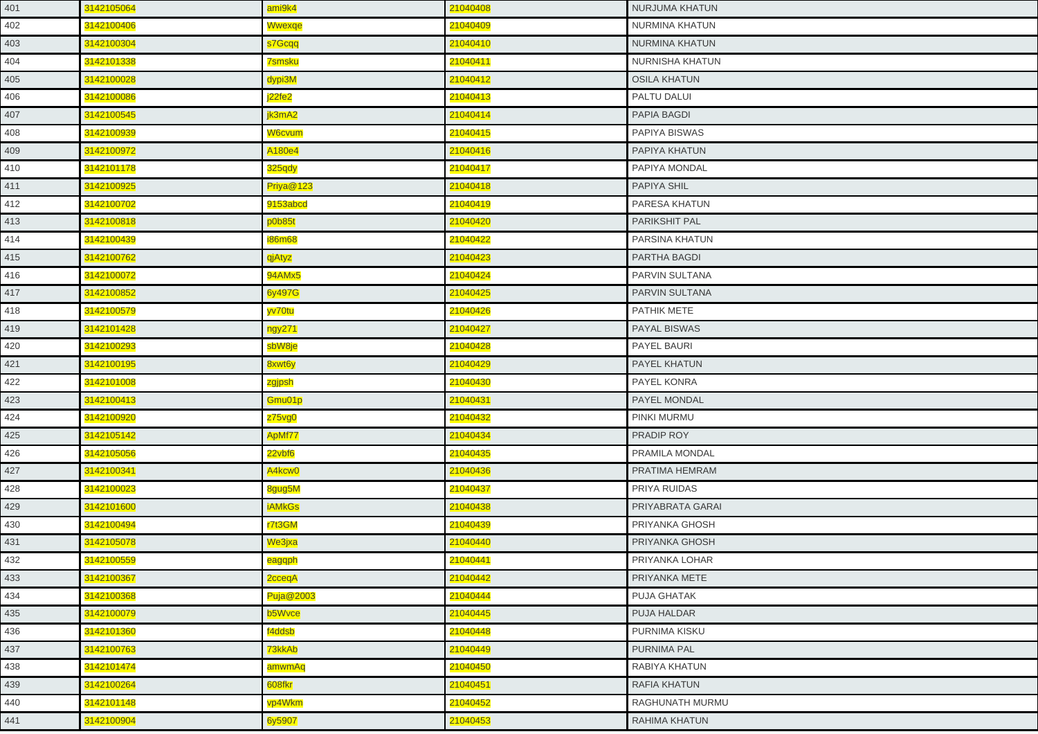| 401 | 3142105064 | ami9k4              | 21040408         | NURJUMA KHATUN        |
|-----|------------|---------------------|------------------|-----------------------|
| 402 | 3142100406 | Wwexqe              | 21040409         | NURMINA KHATUN        |
| 403 | 3142100304 | s7Gcqq              | 21040410         | NURMINA KHATUN        |
| 404 | 3142101338 | <mark>7smsku</mark> | 21040411         | NURNISHA KHATUN       |
| 405 | 3142100028 | dypi3M              | 21040412         | <b>OSILA KHATUN</b>   |
| 406 | 3142100086 | j22fe2              | 21040413         | PALTU DALUI           |
| 407 | 3142100545 | jk3mA2              | 21040414         | PAPIA BAGDI           |
| 408 | 3142100939 | W6cvum              | 21040415         | PAPIYA BISWAS         |
| 409 | 3142100972 | A180e4              | 21040416         | <b>PAPIYA KHATUN</b>  |
| 410 | 3142101178 | 325qdy              | 21040417         | PAPIYA MONDAL         |
| 411 | 3142100925 | Priya@123           | 21040418         | PAPIYA SHIL           |
| 412 | 3142100702 | 9153abcd            | 21040419         | PARESA KHATUN         |
| 413 | 3142100818 | p0b85t              | 21040420         | PARIKSHIT PAL         |
| 414 | 3142100439 | i86m68              | 21040422         | <b>PARSINA KHATUN</b> |
| 415 | 3142100762 | qjAtyz              | 21040423         | PARTHA BAGDI          |
| 416 | 3142100072 | 94AMx5              | 21040424         | PARVIN SULTANA        |
| 417 | 3142100852 | 6y497G              | 21040425         | PARVIN SULTANA        |
| 418 | 3142100579 | yv70tu              | 21040426         | PATHIK METE           |
| 419 | 3142101428 | ngy271              | 21040427         | PAYAL BISWAS          |
| 420 | 3142100293 | sbW8je              | 21040428         | PAYEL BAURI           |
| 421 | 3142100195 | 8xwt6y              | 21040429         | PAYEL KHATUN          |
| 422 | 3142101008 | zgjpsh              | 21040430         | PAYEL KONRA           |
| 423 | 3142100413 | Gmu01p              | 21040431         | <b>PAYEL MONDAL</b>   |
| 424 | 3142100920 | z75vg0              | 21040432         | <b>PINKI MURMU</b>    |
| 425 | 3142105142 | ApMf77              | 21040434         | PRADIP ROY            |
| 426 | 3142105056 | 22vbf6              | 21040435         | PRAMILA MONDAL        |
| 427 | 3142100341 | A4kcw0              | 21040436         | PRATIMA HEMRAM        |
| 428 | 3142100023 | 8gug5M              | 21040437         | <b>PRIYA RUIDAS</b>   |
| 429 | 3142101600 | <b>iAMkGs</b>       | 21040438         | PRIYABRATA GARAI      |
| 430 | 3142100494 | r7t3GM              | 21040439         | PRIYANKA GHOSH        |
| 431 | 3142105078 | We3jxa              | 21040440         | PRIYANKA GHOSH        |
| 432 | 3142100559 | <mark>eagqph</mark> | <u> 21040441</u> | PRIYANKA LOHAR        |
| 433 | 3142100367 | 2cceqA              | 21040442         | PRIYANKA METE         |
| 434 | 3142100368 | Puja@2003           | 21040444         | PUJA GHATAK           |
| 435 | 3142100079 | <b>b5Wvce</b>       | 21040445         | PUJA HALDAR           |
| 436 | 3142101360 | f4ddsb              | 21040448         | PURNIMA KISKU         |
| 437 | 3142100763 | 73kkAb              | 21040449         | <b>PURNIMA PAL</b>    |
| 438 | 3142101474 | amwmAq              | 21040450         | RABIYA KHATUN         |
| 439 | 3142100264 | 608fkr              | 21040451         | <b>RAFIA KHATUN</b>   |
| 440 | 3142101148 | vp4Wkm              | 21040452         | RAGHUNATH MURMU       |
| 441 | 3142100904 | 6y5907              | 21040453         | <b>RAHIMA KHATUN</b>  |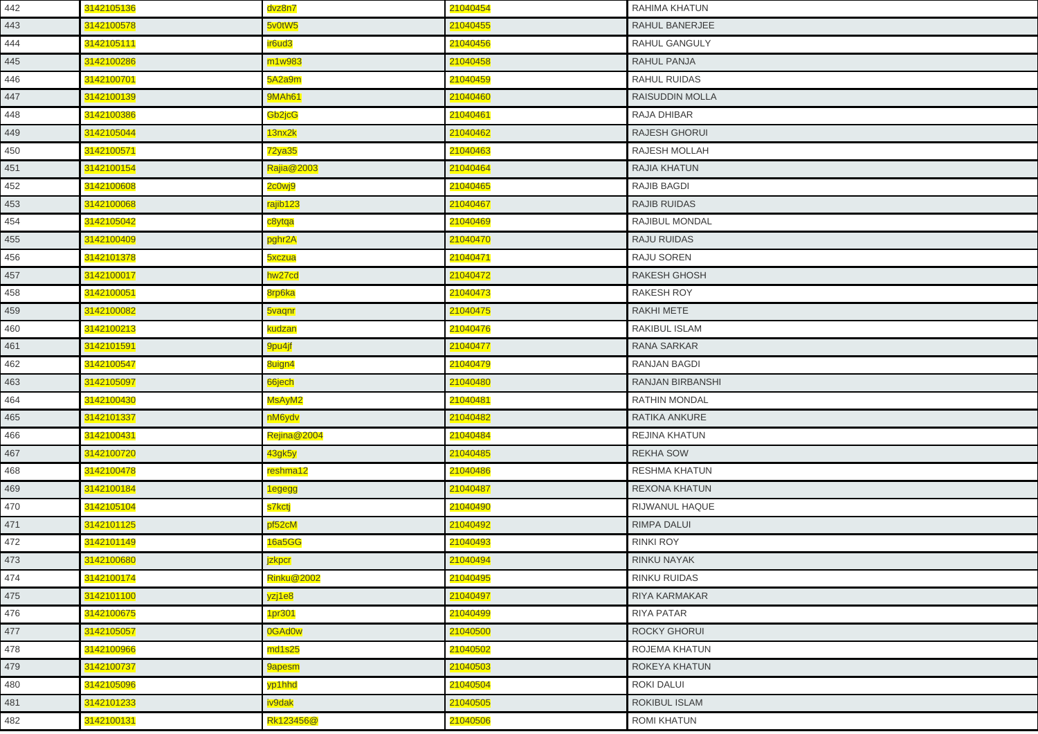| 442 | 3142105136 | dvz8n7              | 21040454 | RAHIMA KHATUN           |
|-----|------------|---------------------|----------|-------------------------|
| 443 | 3142100578 | 5v0tW5              | 21040455 | RAHUL BANERJEE          |
| 444 | 3142105111 | ir6ud3              | 21040456 | RAHUL GANGULY           |
| 445 | 3142100286 | m1w983              | 21040458 | <b>RAHUL PANJA</b>      |
| 446 | 3142100701 | 5A2a9m              | 21040459 | RAHUL RUIDAS            |
| 447 | 3142100139 | <b>9MAh61</b>       | 21040460 | RAISUDDIN MOLLA         |
| 448 | 3142100386 | Gb2jcG              | 21040461 | RAJA DHIBAR             |
| 449 | 3142105044 | 13nx2k              | 21040462 | <b>RAJESH GHORUI</b>    |
| 450 | 3142100571 | <mark>72ya35</mark> | 21040463 | <b>RAJESH MOLLAH</b>    |
| 451 | 3142100154 | Rajia@2003          | 21040464 | <b>RAJIA KHATUN</b>     |
| 452 | 3142100608 | 2c0wj9              | 21040465 | <b>RAJIB BAGDI</b>      |
| 453 | 3142100068 | rajib123            | 21040467 | <b>RAJIB RUIDAS</b>     |
| 454 | 3142105042 | <mark>c8ytqa</mark> | 21040469 | RAJIBUL MONDAL          |
| 455 | 3142100409 | pghr <sub>2</sub> A | 21040470 | <b>RAJU RUIDAS</b>      |
| 456 | 3142101378 | 5xczua              | 21040471 | <b>RAJU SOREN</b>       |
| 457 | 3142100017 | hw <sub>27cd</sub>  | 21040472 | <b>RAKESH GHOSH</b>     |
| 458 | 3142100051 | 8rp6ka              | 21040473 | <b>RAKESH ROY</b>       |
| 459 | 3142100082 | <b>5vaqnr</b>       | 21040475 | <b>RAKHI METE</b>       |
| 460 | 3142100213 | kudzan              | 21040476 | RAKIBUL ISLAM           |
| 461 | 3142101591 | 9pu4jf              | 21040477 | <b>RANA SARKAR</b>      |
| 462 | 3142100547 | 8uign4              | 21040479 | <b>RANJAN BAGDI</b>     |
| 463 | 3142105097 | 66jech              | 21040480 | <b>RANJAN BIRBANSHI</b> |
| 464 | 3142100430 | MsAyM2              | 21040481 | <b>RATHIN MONDAL</b>    |
| 465 | 3142101337 | nM6ydv              | 21040482 | RATIKA ANKURE           |
| 466 | 3142100431 | Rejina@2004         | 21040484 | <b>REJINA KHATUN</b>    |
| 467 | 3142100720 | 43gk5y              | 21040485 | <b>REKHA SOW</b>        |
| 468 | 3142100478 | reshma12            | 21040486 | <b>RESHMA KHATUN</b>    |
| 469 | 3142100184 | 1egegg              | 21040487 | REXONA KHATUN           |
| 470 | 3142105104 | s7kctj              | 21040490 | RIJWANUL HAQUE          |
| 471 | 3142101125 | pf52cM              | 21040492 | <b>RIMPA DALUI</b>      |
| 472 | 3142101149 | 16a5GG              | 21040493 | <b>RINKI ROY</b>        |
| 473 | 3142100680 | jzkpcr              | 21040494 | RINKU NAYAK             |
| 474 | 3142100174 | Rinku@2002          | 21040495 | <b>RINKU RUIDAS</b>     |
| 475 | 3142101100 | yzj1e8              | 21040497 | <b>RIYA KARMAKAR</b>    |
| 476 | 3142100675 | 1pr301              | 21040499 | <b>RIYA PATAR</b>       |
| 477 | 3142105057 | 0GAd0w              | 21040500 | <b>ROCKY GHORUI</b>     |
| 478 | 3142100966 | md1s25              | 21040502 | ROJEMA KHATUN           |
| 479 | 3142100737 | <b>9apesm</b>       | 21040503 | ROKEYA KHATUN           |
| 480 | 3142105096 | yp1hhd              | 21040504 | <b>ROKI DALUI</b>       |
| 481 | 3142101233 | iv9dak              | 21040505 | <b>ROKIBUL ISLAM</b>    |
| 482 | 3142100131 | Rk123456@           | 21040506 | <b>ROMI KHATUN</b>      |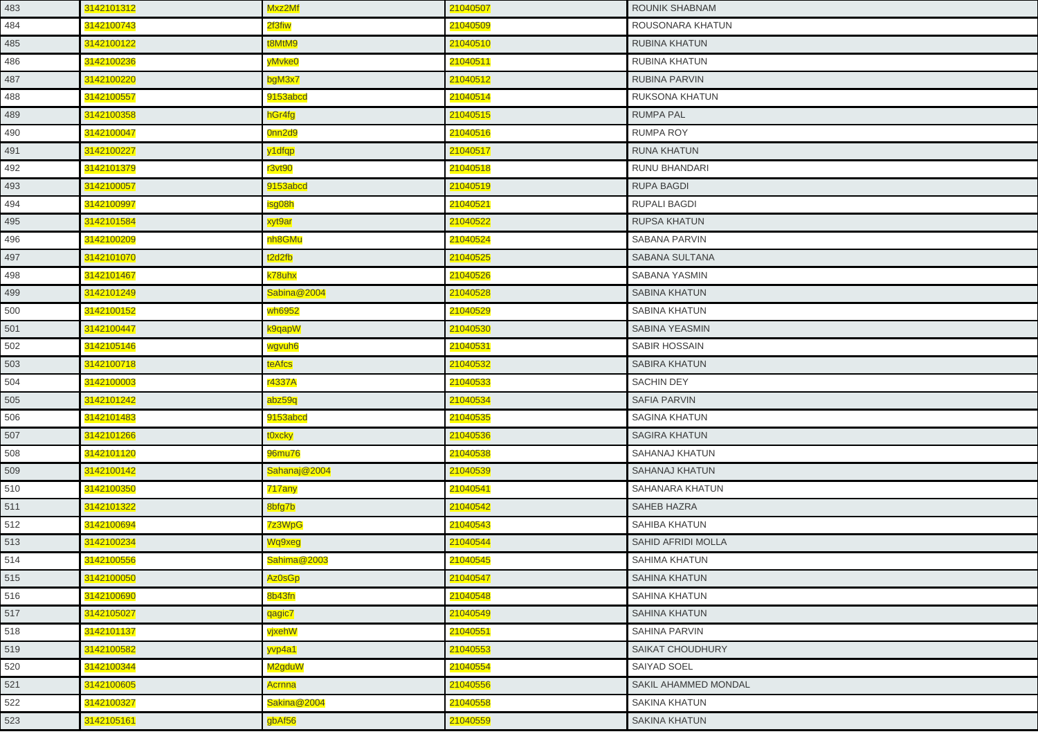| 483 | 3142101312 | Mxz2Mf              | 21040507 | ROUNIK SHABNAM        |
|-----|------------|---------------------|----------|-----------------------|
| 484 | 3142100743 | 2f3fiw              | 21040509 | ROUSONARA KHATUN      |
| 485 | 3142100122 | t8MtM9              | 21040510 | RUBINA KHATUN         |
| 486 | 3142100236 | yMvke0              | 21040511 | <b>RUBINA KHATUN</b>  |
| 487 | 3142100220 | bgM3x7              | 21040512 | <b>RUBINA PARVIN</b>  |
| 488 | 3142100557 | 9153abcd            | 21040514 | <b>RUKSONA KHATUN</b> |
| 489 | 3142100358 | hGr4fg              | 21040515 | <b>RUMPA PAL</b>      |
| 490 | 3142100047 | Onn <sub>2d9</sub>  | 21040516 | <b>RUMPA ROY</b>      |
| 491 | 3142100227 | y1dfqp              | 21040517 | RUNA KHATUN           |
| 492 | 3142101379 | r3vt90              | 21040518 | RUNU BHANDARI         |
| 493 | 3142100057 | 9153abcd            | 21040519 | <b>RUPA BAGDI</b>     |
| 494 | 3142100997 | isg08h              | 21040521 | RUPALI BAGDI          |
| 495 | 3142101584 | xyt9ar              | 21040522 | <b>RUPSA KHATUN</b>   |
| 496 | 3142100209 | nh8GMu              | 21040524 | <b>SABANA PARVIN</b>  |
| 497 | 3142101070 | t <sub>2d2fb</sub>  | 21040525 | <b>SABANA SULTANA</b> |
| 498 | 3142101467 | k78uhx              | 21040526 | SABANA YASMIN         |
| 499 | 3142101249 | Sabina@2004         | 21040528 | <b>SABINA KHATUN</b>  |
| 500 | 3142100152 | wh6952              | 21040529 | <b>SABINA KHATUN</b>  |
| 501 | 3142100447 | k9qapW              | 21040530 | <b>SABINA YEASMIN</b> |
| 502 | 3142105146 | wgvuh6              | 21040531 | SABIR HOSSAIN         |
| 503 | 3142100718 | teAfcs              | 21040532 | <b>SABIRA KHATUN</b>  |
| 504 | 3142100003 | r4337A              | 21040533 | SACHIN DEY            |
| 505 | 3142101242 | abz59q              | 21040534 | <b>SAFIA PARVIN</b>   |
| 506 | 3142101483 | 9153abcd            | 21040535 | <b>SAGINA KHATUN</b>  |
| 507 | 3142101266 | t0xcky              | 21040536 | <b>SAGIRA KHATUN</b>  |
| 508 | 3142101120 | 96mu76              | 21040538 | SAHANAJ KHATUN        |
| 509 | 3142100142 | Sahanaj@2004        | 21040539 | <b>SAHANAJ KHATUN</b> |
| 510 | 3142100350 | 717any              | 21040541 | SAHANARA KHATUN       |
| 511 | 3142101322 | 8bfg7b              | 21040542 | SAHEB HAZRA           |
| 512 | 3142100694 | 7z3WpG              | 21040543 | SAHIBA KHATUN         |
| 513 | 3142100234 | Wq9xeg              | 21040544 | SAHID AFRIDI MOLLA    |
| 514 | 3142100556 | Sahima@2003         | 21040545 | <b>SAHIMA KHATUN</b>  |
| 515 | 3142100050 | <b>Az0sGp</b>       | 21040547 | <b>SAHINA KHATUN</b>  |
| 516 | 3142100690 | 8b43fn              | 21040548 | SAHINA KHATUN         |
| 517 | 3142105027 | qagic7              | 21040549 | <b>SAHINA KHATUN</b>  |
| 518 | 3142101137 | vjxehW              | 21040551 | <b>SAHINA PARVIN</b>  |
| 519 | 3142100582 | yvp4a1              | 21040553 | SAIKAT CHOUDHURY      |
| 520 | 3142100344 | M <sub>2gdu</sub> W | 21040554 | SAIYAD SOEL           |
| 521 | 3142100605 | Acrnna              | 21040556 | SAKIL AHAMMED MONDAL  |
| 522 | 3142100327 | Sakina@2004         | 21040558 | <b>SAKINA KHATUN</b>  |
| 523 | 3142105161 | gbAf56              | 21040559 | <b>SAKINA KHATUN</b>  |
|     |            |                     |          |                       |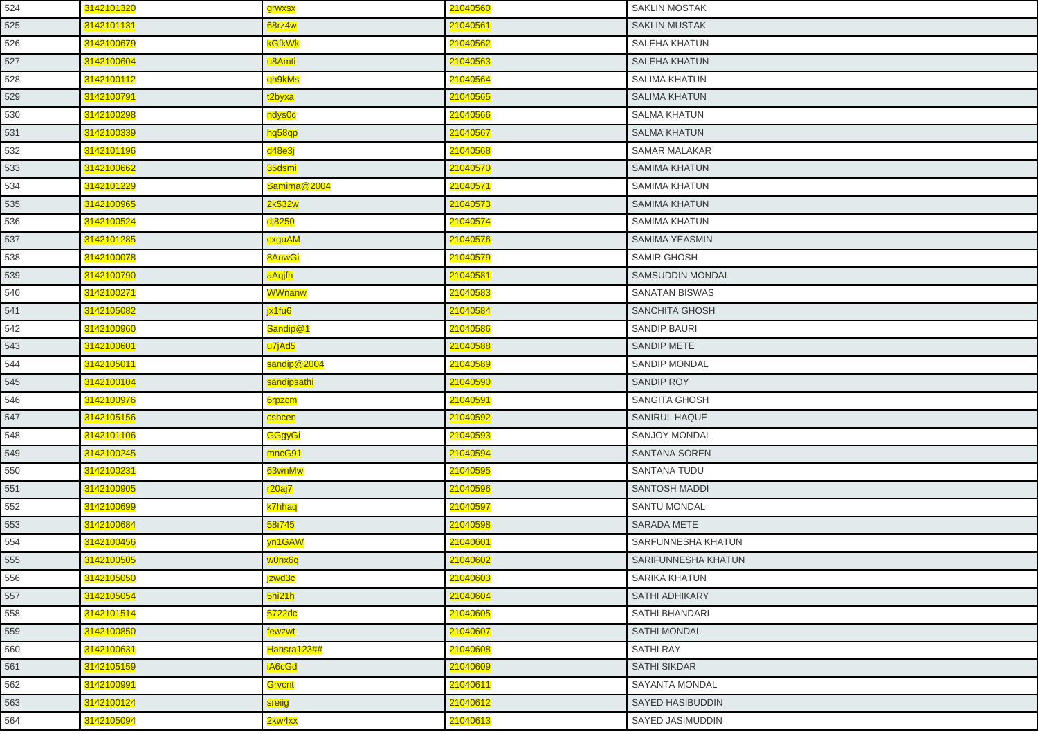| 524 | 3142101320 | grwxsx             | 21040560 | <b>SAKLIN MOSTAK</b>    |
|-----|------------|--------------------|----------|-------------------------|
| 525 | 3142101131 | 68rz4w             | 21040561 | <b>SAKLIN MUSTAK</b>    |
| 526 | 3142100679 | kGfkWk             | 21040562 | SALEHA KHATUN           |
| 527 | 3142100604 | u8Amti             | 21040563 | <b>SALEHA KHATUN</b>    |
| 528 | 3142100112 | qh9kMs             | 21040564 | <b>SALIMA KHATUN</b>    |
| 529 | 3142100791 | t2byxa             | 21040565 | <b>SALIMA KHATUN</b>    |
| 530 | 3142100298 | ndys0c             | 21040566 | <b>SALMA KHATUN</b>     |
| 531 | 3142100339 | hq58qp             | 21040567 | <b>SALMA KHATUN</b>     |
| 532 | 3142101196 | d48e3j             | 21040568 | <b>SAMAR MALAKAR</b>    |
| 533 | 3142100662 | 35dsmi             | 21040570 | <b>SAMIMA KHATUN</b>    |
| 534 | 3142101229 | Samima@2004        | 21040571 | <b>SAMIMA KHATUN</b>    |
| 535 | 3142100965 | 2k532w             | 21040573 | <b>SAMIMA KHATUN</b>    |
| 536 | 3142100524 | $d$ $3250$         | 21040574 | <b>SAMIMA KHATUN</b>    |
| 537 | 3142101285 | cxguAM             | 21040576 | SAMIMA YEASMIN          |
| 538 | 3142100078 | 8AnwGi             | 21040579 | <b>SAMIR GHOSH</b>      |
| 539 | 3142100790 | aAqjfh             | 21040581 | <b>SAMSUDDIN MONDAL</b> |
| 540 | 3142100271 | <b>WWnanw</b>      | 21040583 | <b>SANATAN BISWAS</b>   |
| 541 | 3142105082 | jx1fu6             | 21040584 | <b>SANCHITA GHOSH</b>   |
| 542 | 3142100960 | Sandip@1           | 21040586 | SANDIP BAURI            |
| 543 | 3142100601 | u7jAd5             | 21040588 | <b>SANDIP METE</b>      |
| 544 | 3142105011 | sandip@2004        | 21040589 | SANDIP MONDAL           |
| 545 | 3142100104 | sandipsathi        | 21040590 | SANDIP ROY              |
| 546 | 3142100976 | 6rpzcm             | 21040591 | SANGITA GHOSH           |
| 547 | 3142105156 | <b>csbcen</b>      | 21040592 | <b>SANIRUL HAQUE</b>    |
| 548 | 3142101106 | GGgyGi             | 21040593 | <b>SANJOY MONDAL</b>    |
| 549 | 3142100245 | mncG91             | 21040594 | SANTANA SOREN           |
| 550 | 3142100231 | 63wnMw             | 21040595 | SANTANA TUDU            |
| 551 | 3142100905 | r20aj7             | 21040596 | <b>SANTOSH MADDI</b>    |
| 552 | 3142100699 | k7hhaq             | 21040597 | <b>SANTU MONDAL</b>     |
| 553 | 3142100684 | <b>58i745</b>      | 21040598 | <b>SARADA METE</b>      |
| 554 | 3142100456 | yn1GAW             | 21040601 | SARFUNNESHA KHATUN      |
| 555 | 3142100505 | w0nx6q             | 21040602 | SARIFUNNESHA KHATUN     |
| 556 | 3142105050 | jzwd3c             | 21040603 | SARIKA KHATUN           |
| 557 | 3142105054 | 5hi21h             | 21040604 | <b>SATHI ADHIKARY</b>   |
| 558 | 3142101514 | 5722dc             | 21040605 | <b>SATHI BHANDARI</b>   |
| 559 | 3142100850 | fewzwt             | 21040607 | <b>SATHI MONDAL</b>     |
| 560 | 3142100631 | Hansra123##        | 21040608 | <b>SATHI RAY</b>        |
| 561 | 3142105159 | iA6cGd             | 21040609 | <b>SATHI SIKDAR</b>     |
| 562 | 3142100991 | Grvcnt             | 21040611 | SAYANTA MONDAL          |
| 563 | 3142100124 | sreiig             | 21040612 | <b>SAYED HASIBUDDIN</b> |
| 564 | 3142105094 | 2 <sub>kw4xx</sub> | 21040613 | <b>SAYED JASIMUDDIN</b> |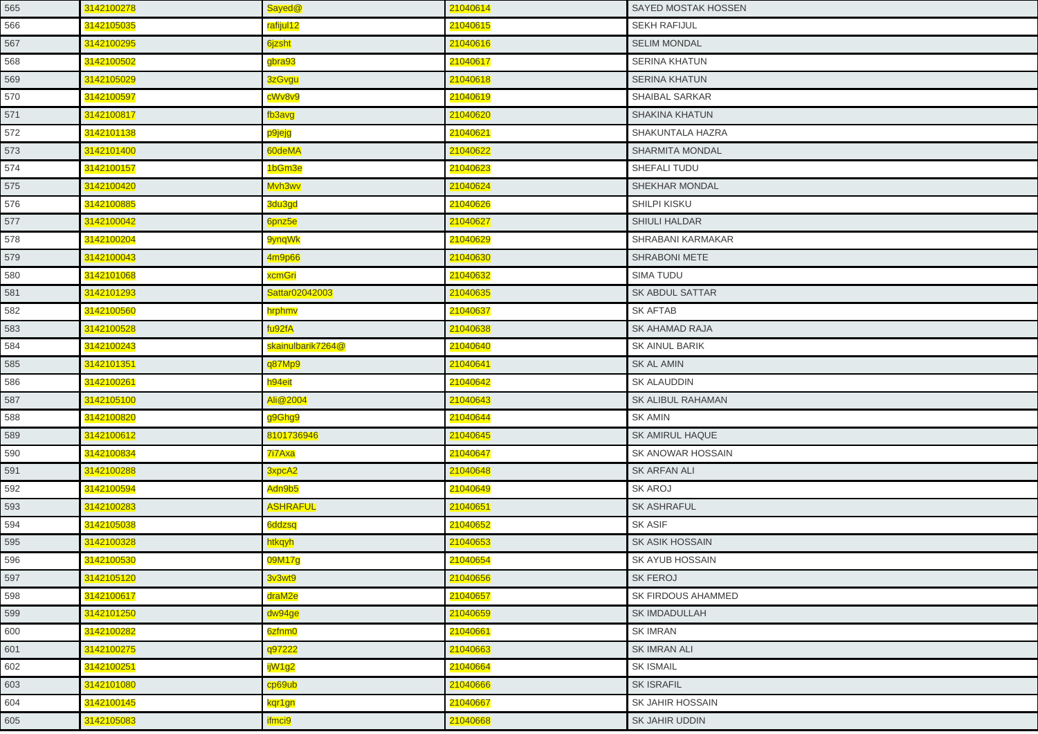| 3142100278 | Sayed@            | 21040614        | <b>SAYED MOSTAK HOSSEN</b> |
|------------|-------------------|-----------------|----------------------------|
| 3142105035 | rafijul12         | 21040615        | <b>SEKH RAFIJUL</b>        |
| 3142100295 | 6jzsht            | 21040616        | <b>SELIM MONDAL</b>        |
| 3142100502 | gbra93            | 21040617        | <b>SERINA KHATUN</b>       |
| 3142105029 | 3zGvgu            | 21040618        | <b>SERINA KHATUN</b>       |
| 3142100597 | cWv8v9            | 21040619        | <b>SHAIBAL SARKAR</b>      |
| 3142100817 | fb3avg            | 21040620        | <b>SHAKINA KHATUN</b>      |
| 3142101138 | p9jejg            | 21040621        | SHAKUNTALA HAZRA           |
| 3142101400 | 60deMA            | 21040622        | <b>SHARMITA MONDAL</b>     |
| 3142100157 | 1bGm3e            | 21040623        | <b>SHEFALI TUDU</b>        |
| 3142100420 | Mvh3wv            | 21040624        | SHEKHAR MONDAL             |
| 3142100885 | 3du3gd            | 21040626        | <b>SHILPI KISKU</b>        |
| 3142100042 | 6pnz5e            | 21040627        | <b>SHIULI HALDAR</b>       |
| 3142100204 | 9ynqWk            | 21040629        | SHRABANI KARMAKAR          |
| 3142100043 | 4m9p66            | 21040630        | <b>SHRABONI METE</b>       |
| 3142101068 | xcmGri            | 21040632        | <b>SIMA TUDU</b>           |
| 3142101293 | Sattar02042003    | 21040635        | <b>SK ABDUL SATTAR</b>     |
| 3142100560 | hrphmy            | 21040637        | <b>SK AFTAB</b>            |
| 3142100528 | fu92fA            | 21040638        | <b>SK AHAMAD RAJA</b>      |
| 3142100243 | skainulbarik7264@ | 21040640        | <b>SK AINUL BARIK</b>      |
| 3142101351 | q87Mp9            | 21040641        | SK AL AMIN                 |
| 3142100261 | h94eit            | 21040642        | <b>SK ALAUDDIN</b>         |
| 3142105100 | Ali@2004          | 21040643        | <b>SK ALIBUL RAHAMAN</b>   |
| 3142100820 | g9Ghg9            | 21040644        | SK AMIN                    |
| 3142100612 | 8101736946        | 21040645        | <b>SK AMIRUL HAQUE</b>     |
| 3142100834 | 7i7Axa            | 21040647        | SK ANOWAR HOSSAIN          |
| 3142100288 | 3xpcA2            | 21040648        | SK ARFAN ALI               |
| 3142100594 | Adn9b5            | 21040649        | <b>SK AROJ</b>             |
| 3142100283 | <b>ASHRAFUL</b>   | 21040651        | <b>SK ASHRAFUL</b>         |
| 3142105038 | 6ddzsq            | 21040652        | <b>SK ASIF</b>             |
| 3142100328 | htkqyh            | 21040653        | <b>SK ASIK HOSSAIN</b>     |
| 3142100530 | 09M17g            | <u>21040654</u> | SK AYUB HOSSAIN            |
| 3142105120 | 3v3wt9            | 21040656        | <b>SK FEROJ</b>            |
| 3142100617 | draM2e            | 21040657        | SK FIRDOUS AHAMMED         |
| 3142101250 | dw94ge            | 21040659        | SK IMDADULLAH              |
| 3142100282 | 6zfnm0            | 21040661        | <b>SK IMRAN</b>            |
| 3142100275 | q97222            | 21040663        | <b>SK IMRAN ALI</b>        |
| 3142100251 | ijW1g2            | 21040664        | <b>SK ISMAIL</b>           |
| 3142101080 | cp69ub            | 21040666        | <b>SK ISRAFIL</b>          |
| 3142100145 | kqr1gn            | 21040667        | SK JAHIR HOSSAIN           |
| 3142105083 | ifmci9            | 21040668        | SK JAHIR UDDIN             |
|            |                   |                 |                            |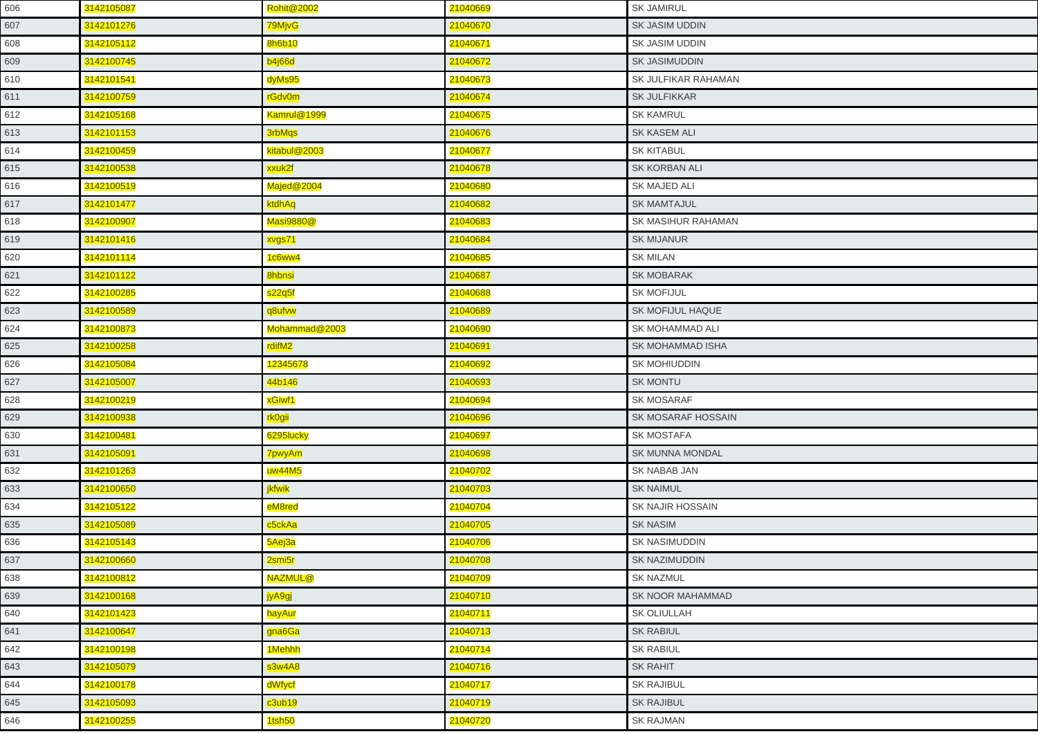| 606 | 3142105087 | <b>Rohit@2002</b> | 21040669 | <b>SK JAMIRUL</b>       |
|-----|------------|-------------------|----------|-------------------------|
| 607 | 3142101276 | 79MjvG            | 21040670 | <b>SK JASIM UDDIN</b>   |
| 608 | 3142105112 | 8h6b10            | 21040671 | <b>SK JASIM UDDIN</b>   |
| 609 | 3142100745 | b4j66d            | 21040672 | <b>SK JASIMUDDIN</b>    |
| 610 | 3142101541 | dyMs95            | 21040673 | SK JULFIKAR RAHAMAN     |
| 611 | 3142100759 | rGdv0m            | 21040674 | <b>SK JULFIKKAR</b>     |
| 612 | 3142105168 | Kamrul@1999       | 21040675 | <b>SK KAMRUL</b>        |
| 613 | 3142101153 | <b>3rbMqs</b>     | 21040676 | <b>SK KASEM ALI</b>     |
| 614 | 3142100459 | kitabul@2003      | 21040677 | <b>SK KITABUL</b>       |
| 615 | 3142100538 | xxuk2f            | 21040678 | SK KORBAN ALI           |
| 616 | 3142100519 | Majed@2004        | 21040680 | SK MAJED ALI            |
| 617 | 3142101477 | ktdhAq            | 21040682 | <b>SK MAMTAJUL</b>      |
| 618 | 3142100907 | Masi9880@         | 21040683 | SK MASIHUR RAHAMAN      |
| 619 | 3142101416 | xvgs71            | 21040684 | <b>SK MIJANUR</b>       |
| 620 | 3142101114 | 1c6ww4            | 21040685 | <b>SK MILAN</b>         |
| 621 | 3142101122 | 8hbnsi            | 21040687 | <b>SK MOBARAK</b>       |
| 622 | 3142100285 | s22q5f            | 21040688 | <b>SK MOFIJUL</b>       |
| 623 | 3142100589 | q8ufvw            | 21040689 | <b>SK MOFIJUL HAQUE</b> |
| 624 | 3142100873 | Mohammad@2003     | 21040690 | <b>SK MOHAMMAD ALI</b>  |
| 625 | 3142100258 | rdifM2            | 21040691 | SK MOHAMMAD ISHA        |
| 626 | 3142105084 | 12345678          | 21040692 | <b>SK MOHIUDDIN</b>     |
| 627 | 3142105007 | 44b146            | 21040693 | <b>SK MONTU</b>         |
| 628 | 3142100219 | xGiwf1            | 21040694 | <b>SK MOSARAF</b>       |
| 629 | 3142100938 | <b>rk</b> Ogii    | 21040696 | SK MOSARAF HOSSAIN      |
| 630 | 3142100481 | 6295lucky         | 21040697 | <b>SK MOSTAFA</b>       |
| 631 | 3142105091 | <b>7pwyAm</b>     | 21040698 | <b>SK MUNNA MONDAL</b>  |
| 632 | 3142101263 | uw44M5            | 21040702 | SK NABAB JAN            |
| 633 | 3142100650 | jkfwik            | 21040703 | <b>SK NAIMUL</b>        |
| 634 | 3142105122 | eM8red            | 21040704 | SK NAJIR HOSSAIN        |
| 635 | 3142105089 | c5ckAa            | 21040705 | <b>SK NASIM</b>         |
| 636 | 3142105143 | 5Aej3a            | 21040706 | SK NASIMUDDIN           |
| 637 | 3142100660 | 2smi5r            | 21040708 | <b>SK NAZIMUDDIN</b>    |
| 638 | 3142100812 | <b>NAZMUL@</b>    | 21040709 | <b>SK NAZMUL</b>        |
| 639 | 3142100168 | jyA9gj            | 21040710 | SK NOOR MAHAMMAD        |
| 640 | 3142101423 | hayAur            | 21040711 | <b>SK OLIULLAH</b>      |
| 641 | 3142100647 | gna6Ga            | 21040713 | <b>SK RABIUL</b>        |
| 642 | 3142100198 | 1Mehhh            | 21040714 | <b>SK RABIUL</b>        |
| 643 | 3142105079 | <b>s3w4A8</b>     | 21040716 | <b>SK RAHIT</b>         |
| 644 | 3142100178 | dWfycf            | 21040717 | <b>SK RAJIBUL</b>       |
| 645 | 3142105093 | c3ub19            | 21040719 | <b>SK RAJIBUL</b>       |
| 646 | 3142100255 | 1tsh50            | 21040720 | <b>SK RAJMAN</b>        |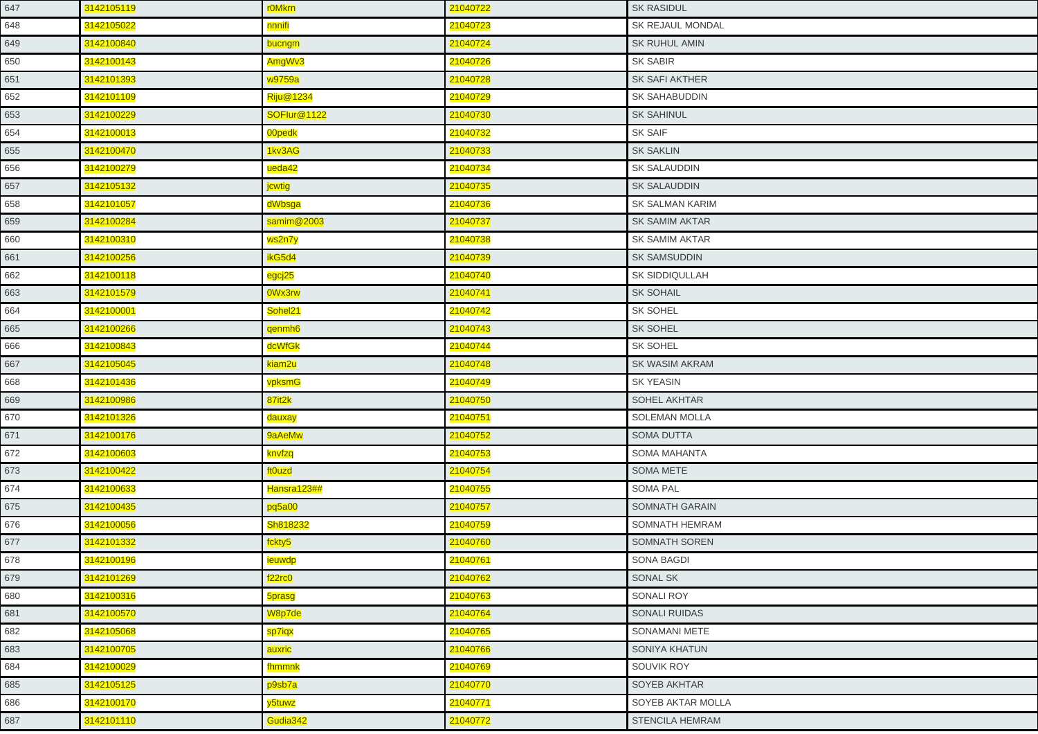| 647 | 3142105119 | r <sub>OMkrn</sub>  | 21040722 | <b>SK RASIDUL</b>      |
|-----|------------|---------------------|----------|------------------------|
| 648 | 3142105022 | <u>nnnifi</u>       | 21040723 | SK REJAUL MONDAL       |
| 649 | 3142100840 | bucngm              | 21040724 | <b>SK RUHUL AMIN</b>   |
| 650 | 3142100143 | AmgWv3              | 21040726 | <b>SK SABIR</b>        |
| 651 | 3142101393 | w9759a              | 21040728 | <b>SK SAFI AKTHER</b>  |
| 652 | 3142101109 | Riju@1234           | 21040729 | SK SAHABUDDIN          |
| 653 | 3142100229 | SOFlur@1122         | 21040730 | <b>SK SAHINUL</b>      |
| 654 | 3142100013 | 00pedk              | 21040732 | <b>SK SAIF</b>         |
| 655 | 3142100470 | 1kv3AG              | 21040733 | <b>SK SAKLIN</b>       |
| 656 | 3142100279 | ueda42              | 21040734 | SK SALAUDDIN           |
| 657 | 3142105132 | jcwtig              | 21040735 | <b>SK SALAUDDIN</b>    |
| 658 | 3142101057 | dWbsga              | 21040736 | <b>SK SALMAN KARIM</b> |
| 659 | 3142100284 | samim@2003          | 21040737 | <b>SK SAMIM AKTAR</b>  |
| 660 | 3142100310 | ws2n7y              | 21040738 | SK SAMIM AKTAR         |
| 661 | 3142100256 | ikG5d4              | 21040739 | <b>SK SAMSUDDIN</b>    |
| 662 | 3142100118 | egcj25              | 21040740 | SK SIDDIQULLAH         |
| 663 | 3142101579 | 0Wx3rw              | 21040741 | <b>SK SOHAIL</b>       |
| 664 | 3142100001 | Sohel <sub>21</sub> | 21040742 | <b>SK SOHEL</b>        |
| 665 | 3142100266 | qenmh <sub>6</sub>  | 21040743 | <b>SK SOHEL</b>        |
| 666 | 3142100843 | dcWfGk              | 21040744 | <b>SK SOHEL</b>        |
| 667 | 3142105045 | kiam2u              | 21040748 | <b>SK WASIM AKRAM</b>  |
| 668 | 3142101436 | vpksmG              | 21040749 | <b>SK YEASIN</b>       |
| 669 | 3142100986 | 87it2k              | 21040750 | SOHEL AKHTAR           |
| 670 | 3142101326 | dauxay              | 21040751 | SOLEMAN MOLLA          |
| 671 | 3142100176 | 9aAeMw              | 21040752 | <b>SOMA DUTTA</b>      |
| 672 | 3142100603 | knvfzq              | 21040753 | <b>SOMA MAHANTA</b>    |
| 673 | 3142100422 | ft0uzd              | 21040754 | SOMA METE              |
| 674 | 3142100633 | Hansra123##         | 21040755 | <b>SOMA PAL</b>        |
| 675 | 3142100435 | pq5a00              | 21040757 | SOMNATH GARAIN         |
| 676 | 3142100056 | Sh818232            | 21040759 | SOMNATH HEMRAM         |
| 677 | 3142101332 | fckty5              | 21040760 | SOMNATH SOREN          |
| 678 | 3142100196 | ieuwdp              | 21040761 | <b>SONA BAGDI</b>      |
| 679 | 3142101269 | f22rc0              | 21040762 | <b>SONAL SK</b>        |
| 680 | 3142100316 | 5prasg              | 21040763 | SONALI ROY             |
| 681 | 3142100570 | W8p7de              | 21040764 | <b>SONALI RUIDAS</b>   |
| 682 | 3142105068 | sp7iqx              | 21040765 | <b>SONAMANI METE</b>   |
| 683 | 3142100705 | auxric              | 21040766 | SONIYA KHATUN          |
| 684 | 3142100029 | <b>fhmmnk</b>       | 21040769 | SOUVIK ROY             |
| 685 | 3142105125 | p9sb7a              | 21040770 | SOYEB AKHTAR           |
| 686 | 3142100170 | y5tuwz              | 21040771 | SOYEB AKTAR MOLLA      |
| 687 | 3142101110 | Gudia342            | 21040772 | <b>STENCILA HEMRAM</b> |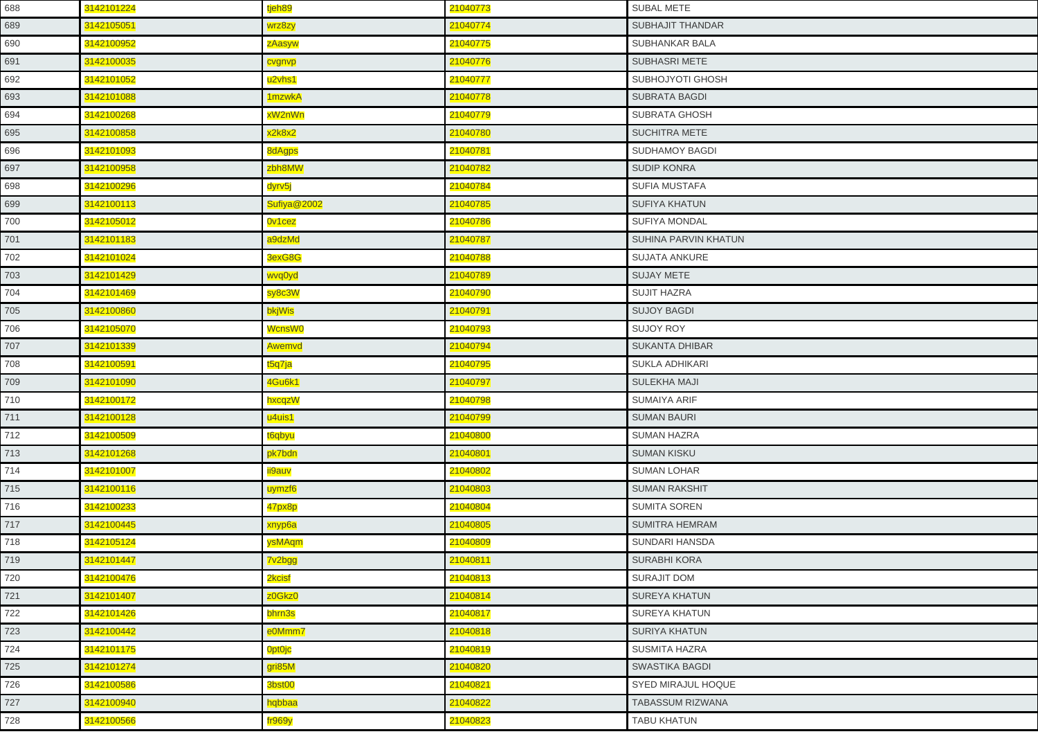| 688 | 3142101224 | tjeh89              | 21040773 | <b>SUBAL METE</b>         |
|-----|------------|---------------------|----------|---------------------------|
| 689 | 3142105051 | wrz8zy              | 21040774 | <b>SUBHAJIT THANDAR</b>   |
| 690 | 3142100952 | <mark>zAasyw</mark> | 21040775 | SUBHANKAR BALA            |
| 691 | 3142100035 | cvgnvp              | 21040776 | <b>SUBHASRI METE</b>      |
| 692 | 3142101052 | u <sub>2vhs1</sub>  | 21040777 | SUBHOJYOTI GHOSH          |
| 693 | 3142101088 | 1mzwkA              | 21040778 | <b>SUBRATA BAGDI</b>      |
| 694 | 3142100268 | xW2nWn              | 21040779 | <b>SUBRATA GHOSH</b>      |
| 695 | 3142100858 | x2k8x2              | 21040780 | <b>SUCHITRA METE</b>      |
| 696 | 3142101093 | 8dAgps              | 21040781 | <b>SUDHAMOY BAGDI</b>     |
| 697 | 3142100958 | zbh8MW              | 21040782 | <b>SUDIP KONRA</b>        |
| 698 | 3142100296 | <mark>dyrv5j</mark> | 21040784 | <b>SUFIA MUSTAFA</b>      |
| 699 | 3142100113 | Sufiya@2002         | 21040785 | <b>SUFIYA KHATUN</b>      |
| 700 | 3142105012 | $0$ v1 $c$ ez       | 21040786 | <b>SUFIYA MONDAL</b>      |
| 701 | 3142101183 | a9dzMd              | 21040787 | SUHINA PARVIN KHATUN      |
| 702 | 3142101024 | 3exG8G              | 21040788 | <b>SUJATA ANKURE</b>      |
| 703 | 3142101429 | wvq0yd              | 21040789 | <b>SUJAY METE</b>         |
| 704 | 3142101469 | sy8c3W              | 21040790 | <b>SUJIT HAZRA</b>        |
| 705 | 3142100860 | bkjWis              | 21040791 | <b>SUJOY BAGDI</b>        |
| 706 | 3142105070 | <b>WcnsW0</b>       | 21040793 | <b>SUJOY ROY</b>          |
| 707 | 3142101339 | Awemvd              | 21040794 | <b>SUKANTA DHIBAR</b>     |
| 708 | 3142100591 | t5q7ja              | 21040795 | <b>SUKLA ADHIKARI</b>     |
| 709 | 3142101090 | 4Gu6k1              | 21040797 | <b>SULEKHA MAJI</b>       |
| 710 | 3142100172 | nxcqzW              | 21040798 | <b>SUMAIYA ARIF</b>       |
| 711 | 3142100128 | u4uis1              | 21040799 | <b>SUMAN BAURI</b>        |
| 712 | 3142100509 | t6qbyu              | 21040800 | <b>SUMAN HAZRA</b>        |
| 713 | 3142101268 | pk7bdn              | 21040801 | <b>SUMAN KISKU</b>        |
| 714 | 3142101007 | <u>ii9auv</u>       | 21040802 | <b>SUMAN LOHAR</b>        |
| 715 | 3142100116 | uymzf <sub>6</sub>  | 21040803 | <b>SUMAN RAKSHIT</b>      |
| 716 | 3142100233 | 47px8p              | 21040804 | <b>SUMITA SOREN</b>       |
| 717 | 3142100445 | xnyp6a              | 21040805 | <b>SUMITRA HEMRAM</b>     |
| 718 | 3142105124 | ysMAqm              | 21040809 | SUNDARI HANSDA            |
| 719 | 3142101447 | 7v <sub>2bgg</sub>  | 21040811 | <b>SURABHI KORA</b>       |
| 720 | 3142100476 | 2kcisf              | 21040813 | <b>SURAJIT DOM</b>        |
| 721 | 3142101407 | z0Gkz0              | 21040814 | SUREYA KHATUN             |
| 722 | 3142101426 | bhrn3s              | 21040817 | <b>SUREYA KHATUN</b>      |
| 723 | 3142100442 | e0Mmm7              | 21040818 | <b>SURIYA KHATUN</b>      |
| 724 | 3142101175 | Opt0jc              | 21040819 | <b>SUSMITA HAZRA</b>      |
| 725 | 3142101274 | gri85M              | 21040820 | <b>SWASTIKA BAGDI</b>     |
| 726 | 3142100586 | 3bst00              | 21040821 | <b>SYED MIRAJUL HOQUE</b> |
| 727 | 3142100940 | hqbbaa              | 21040822 | <b>TABASSUM RIZWANA</b>   |
| 728 | 3142100566 | fr969y              | 21040823 | <b>TABU KHATUN</b>        |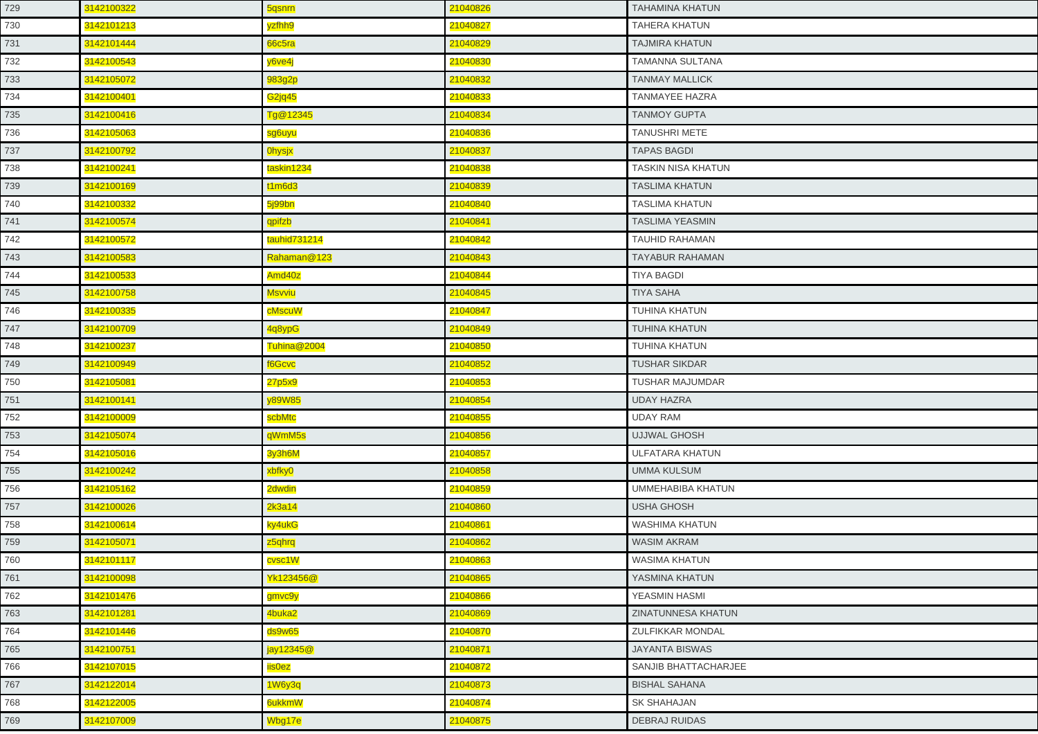| 729 | 3142100322 | 5qsnrn        | 21040826 | <b>TAHAMINA KHATUN</b>    |
|-----|------------|---------------|----------|---------------------------|
| 730 | 3142101213 | yzfhh9        | 21040827 | <b>TAHERA KHATUN</b>      |
| 731 | 3142101444 | 66c5ra        | 21040829 | <b>TAJMIRA KHATUN</b>     |
| 732 | 3142100543 | y6ve4j        | 21040830 | TAMANNA SULTANA           |
| 733 | 3142105072 | 983g2p        | 21040832 | <b>TANMAY MALLICK</b>     |
| 734 | 3142100401 | G2jq45        | 21040833 | <b>TANMAYEE HAZRA</b>     |
| 735 | 3142100416 | Tg@12345      | 21040834 | <b>TANMOY GUPTA</b>       |
| 736 | 3142105063 | sg6uyu        | 21040836 | <b>TANUSHRI METE</b>      |
| 737 | 3142100792 | <b>Ohysjx</b> | 21040837 | <b>TAPAS BAGDI</b>        |
| 738 | 3142100241 | taskin1234    | 21040838 | <b>TASKIN NISA KHATUN</b> |
| 739 | 3142100169 | t1m6d3        | 21040839 | <b>TASLIMA KHATUN</b>     |
| 740 | 3142100332 | 5j99bn        | 21040840 | <b>TASLIMA KHATUN</b>     |
| 741 | 3142100574 | qpifzb        | 21040841 | <b>TASLIMA YEASMIN</b>    |
| 742 | 3142100572 | tauhid731214  | 21040842 | TAUHID RAHAMAN            |
| 743 | 3142100583 | Rahaman@123   | 21040843 | <b>TAYABUR RAHAMAN</b>    |
| 744 | 3142100533 | Amd40z        | 21040844 | <b>TIYA BAGDI</b>         |
| 745 | 3142100758 | <b>Msvviu</b> | 21040845 | <b>TIYA SAHA</b>          |
| 746 | 3142100335 | cMscuW        | 21040847 | TUHINA KHATUN             |
| 747 | 3142100709 | 4q8ypG        | 21040849 | <b>TUHINA KHATUN</b>      |
| 748 | 3142100237 | Tuhina@2004   | 21040850 | TUHINA KHATUN             |
| 749 | 3142100949 | f6Gcvc        | 21040852 | <b>TUSHAR SIKDAR</b>      |
| 750 | 3142105081 | 27p5x9        | 21040853 | TUSHAR MAJUMDAR           |
| 751 | 3142100141 | y89W85        | 21040854 | <b>UDAY HAZRA</b>         |
| 752 | 3142100009 | scbMtc        | 21040855 | <b>UDAY RAM</b>           |
| 753 | 3142105074 | qWmM5s        | 21040856 | <b>UJJWAL GHOSH</b>       |
| 754 | 3142105016 | 3y3h6M        | 21040857 | ULFATARA KHATUN           |
| 755 | 3142100242 | xbfky0        | 21040858 | <b>UMMA KULSUM</b>        |
| 756 | 3142105162 | 2dwdin        | 21040859 | UMMEHABIBA KHATUN         |
| 757 | 3142100026 | 2k3a14        | 21040860 | <b>USHA GHOSH</b>         |
| 758 | 3142100614 | ky4ukG        | 21040861 | <b>WASHIMA KHATUN</b>     |
| 759 | 3142105071 | z5qhrq        | 21040862 | <b>WASIM AKRAM</b>        |
| 760 | 3142101117 | cvsc1W        | 21040863 | <b>WASIMA KHATUN</b>      |
| 761 | 3142100098 | Yk123456@     | 21040865 | YASMINA KHATUN            |
| 762 | 3142101476 | gmvc9y        | 21040866 | YEASMIN HASMI             |
| 763 | 3142101281 | 4buka2        | 21040869 | <b>ZINATUNNESA KHATUN</b> |
| 764 | 3142101446 | ds9w65        | 21040870 | <b>ZULFIKKAR MONDAL</b>   |
| 765 | 3142100751 | jay12345@     | 21040871 | <b>JAYANTA BISWAS</b>     |
| 766 | 3142107015 | iis0ez        | 21040872 | SANJIB BHATTACHARJEE      |
| 767 | 3142122014 | 1W6y3q        | 21040873 | <b>BISHAL SAHANA</b>      |
| 768 | 3142122005 | 6ukkmW        | 21040874 | <b>SK SHAHAJAN</b>        |
| 769 | 3142107009 | Wbg17e        | 21040875 | <b>DEBRAJ RUIDAS</b>      |